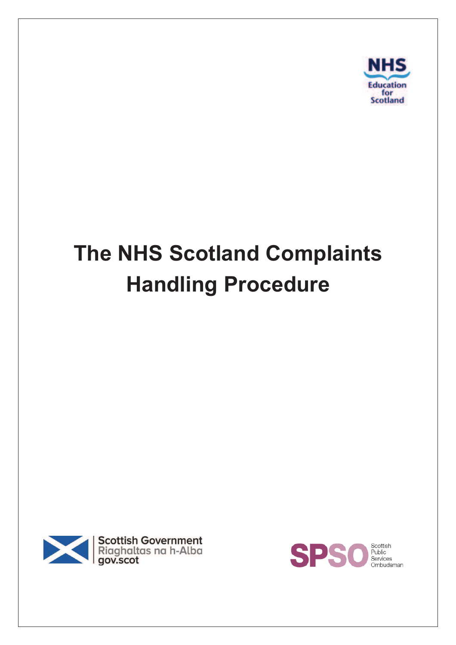

# **The NHS Scotland Complaints Handling Procedure**



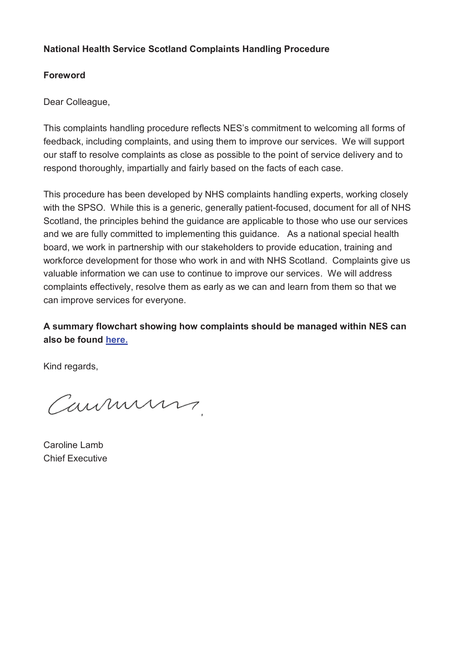#### **National Health Service Scotland Complaints Handling Procedure**

#### **Foreword**

Dear Colleague,

This complaints handling procedure reflects NES's commitment to welcoming all forms of feedback, including complaints, and using them to improve our services. We will support our staff to resolve complaints as close as possible to the point of service delivery and to respond thoroughly, impartially and fairly based on the facts of each case.

This procedure has been developed by NHS complaints handling experts, working closely with the SPSO. While this is a generic, generally patient-focused, document for all of NHS Scotland, the principles behind the guidance are applicable to those who use our services and we are fully committed to implementing this guidance. As a national special health board, we work in partnership with our stakeholders to provide education, training and workforce development for those who work in and with NHS Scotland. Complaints give us valuable information we can use to continue to improve our services. We will address complaints effectively, resolve them as early as we can and learn from them so that we can improve services for everyone.

**A summary flowchart showing how complaints should be managed within NES can also be found here.**

Kind regards,

Caumuns

Caroline Lamb Chief Executive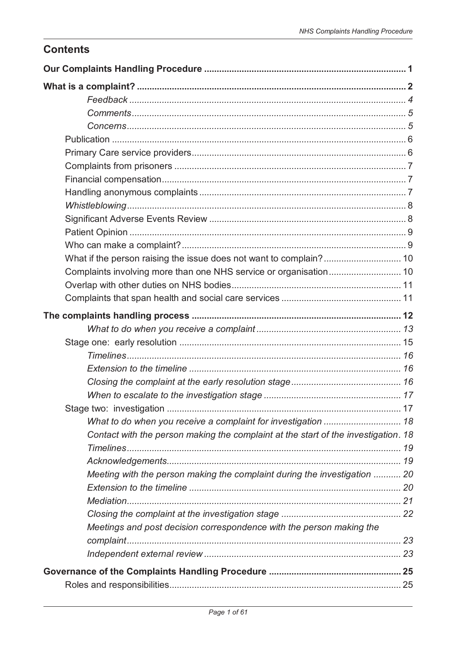# **Contents**

| Complaints involving more than one NHS service or organisation 10                  |  |
|------------------------------------------------------------------------------------|--|
|                                                                                    |  |
|                                                                                    |  |
|                                                                                    |  |
|                                                                                    |  |
|                                                                                    |  |
|                                                                                    |  |
|                                                                                    |  |
|                                                                                    |  |
|                                                                                    |  |
|                                                                                    |  |
|                                                                                    |  |
| Contact with the person making the complaint at the start of the investigation. 18 |  |
|                                                                                    |  |
|                                                                                    |  |
| Meeting with the person making the complaint during the investigation  20          |  |
|                                                                                    |  |
|                                                                                    |  |
|                                                                                    |  |
| Meetings and post decision correspondence with the person making the               |  |
|                                                                                    |  |
|                                                                                    |  |
|                                                                                    |  |
|                                                                                    |  |
|                                                                                    |  |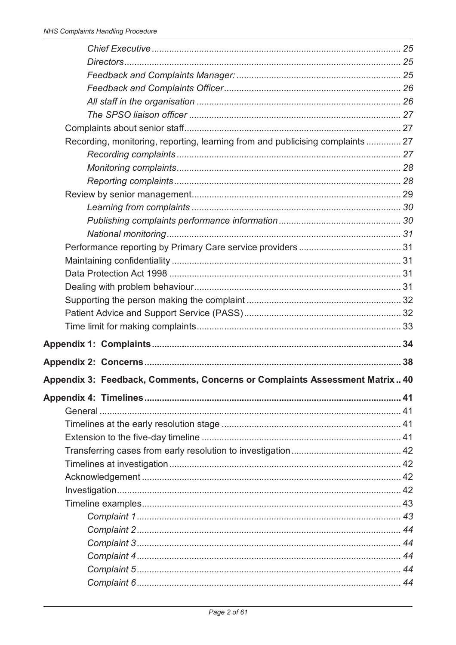| Recording, monitoring, reporting, learning from and publicising complaints  27 |  |
|--------------------------------------------------------------------------------|--|
|                                                                                |  |
|                                                                                |  |
|                                                                                |  |
|                                                                                |  |
|                                                                                |  |
|                                                                                |  |
|                                                                                |  |
|                                                                                |  |
|                                                                                |  |
|                                                                                |  |
|                                                                                |  |
|                                                                                |  |
|                                                                                |  |
|                                                                                |  |
|                                                                                |  |
|                                                                                |  |
| Appendix 3: Feedback, Comments, Concerns or Complaints Assessment Matrix 40    |  |
|                                                                                |  |
|                                                                                |  |
|                                                                                |  |
|                                                                                |  |
|                                                                                |  |
|                                                                                |  |
|                                                                                |  |
|                                                                                |  |
|                                                                                |  |
|                                                                                |  |
|                                                                                |  |
|                                                                                |  |
|                                                                                |  |
|                                                                                |  |
|                                                                                |  |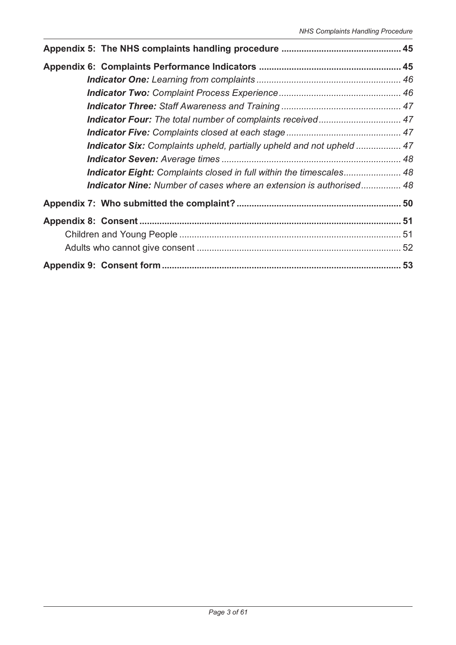| Indicator Six: Complaints upheld, partially upheld and not upheld  47 |  |
|-----------------------------------------------------------------------|--|
|                                                                       |  |
| Indicator Eight: Complaints closed in full within the timescales 48   |  |
| Indicator Nine: Number of cases where an extension is authorised 48   |  |
|                                                                       |  |
|                                                                       |  |
|                                                                       |  |
|                                                                       |  |
|                                                                       |  |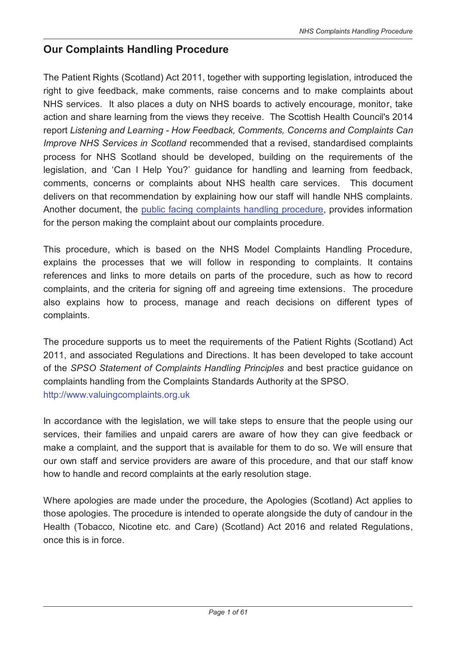# **Our Complaints Handling Procedure**

The Patient Rights (Scotland) Act 2011, together with supporting legislation, introduced the right to give feedback, make comments, raise concerns and to make complaints about NHS services. It also places a duty on NHS boards to actively encourage, monitor, take action and share learning from the views they receive. The Scottish Health Council's 2014 report *Listening and Learning - How Feedback, Comments, Concerns and Complaints Can Improve NHS Services in Scotland* recommended that a revised, standardised complaints process for NHS Scotland should be developed, building on the requirements of the legislation, and 'Can I Help You?' guidance for handling and learning from feedback, comments, concerns or complaints about NHS health care services. This document delivers on that recommendation by explaining how our staff will handle NHS complaints. Another document, the public facing complaints handling procedure, provides information for the person making the complaint about our complaints procedure.

This procedure, which is based on the NHS Model Complaints Handling Procedure, explains the processes that we will follow in responding to complaints. It contains references and links to more details on parts of the procedure, such as how to record complaints, and the criteria for signing off and agreeing time extensions. The procedure also explains how to process, manage and reach decisions on different types of complaints.

The procedure supports us to meet the requirements of the Patient Rights (Scotland) Act 2011, and associated Regulations and Directions. It has been developed to take account of the *SPSO Statement of Complaints Handling Principles* and best practice guidance on complaints handling from the Complaints Standards Authority at the SPSO. http://www.valuingcomplaints.org.uk

In accordance with the legislation, we will take steps to ensure that the people using our services, their families and unpaid carers are aware of how they can give feedback or make a complaint, and the support that is available for them to do so. We will ensure that our own staff and service providers are aware of this procedure, and that our staff know how to handle and record complaints at the early resolution stage.

Where apologies are made under the procedure, the Apologies (Scotland) Act applies to those apologies. The procedure is intended to operate alongside the duty of candour in the Health (Tobacco, Nicotine etc. and Care) (Scotland) Act 2016 and related Regulations, once this is in force.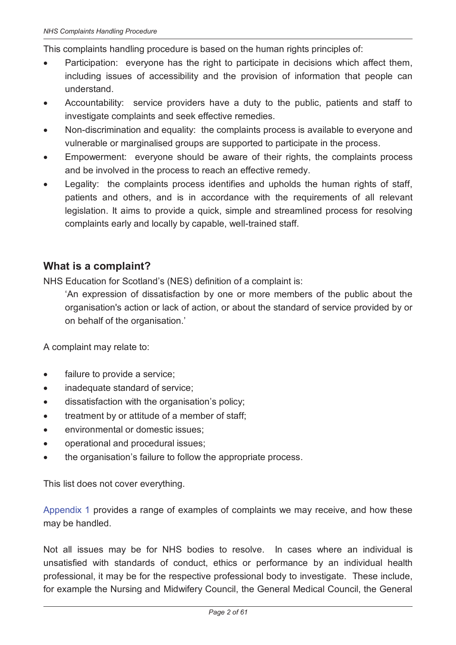This complaints handling procedure is based on the human rights principles of:

- Participation: everyone has the right to participate in decisions which affect them, including issues of accessibility and the provision of information that people can understand.
- Accountability: service providers have a duty to the public, patients and staff to investigate complaints and seek effective remedies.
- Non-discrimination and equality: the complaints process is available to everyone and vulnerable or marginalised groups are supported to participate in the process.
- Empowerment: everyone should be aware of their rights, the complaints process and be involved in the process to reach an effective remedy.
- · Legality: the complaints process identifies and upholds the human rights of staff, patients and others, and is in accordance with the requirements of all relevant legislation. It aims to provide a quick, simple and streamlined process for resolving complaints early and locally by capable, well-trained staff.

# **What is a complaint?**

NHS Education for Scotland's (NES) definition of a complaint is:

'An expression of dissatisfaction by one or more members of the public about the organisation's action or lack of action, or about the standard of service provided by or on behalf of the organisation.'

A complaint may relate to:

- failure to provide a service;
- inadequate standard of service;
- · dissatisfaction with the organisation's policy;
- · treatment by or attitude of a member of staff;
- · environmental or domestic issues;
- · operational and procedural issues;
- the organisation's failure to follow the appropriate process.

This list does not cover everything.

Appendix 1 provides a range of examples of complaints we may receive, and how these may be handled.

Not all issues may be for NHS bodies to resolve. In cases where an individual is unsatisfied with standards of conduct, ethics or performance by an individual health professional, it may be for the respective professional body to investigate. These include, for example the Nursing and Midwifery Council, the General Medical Council, the General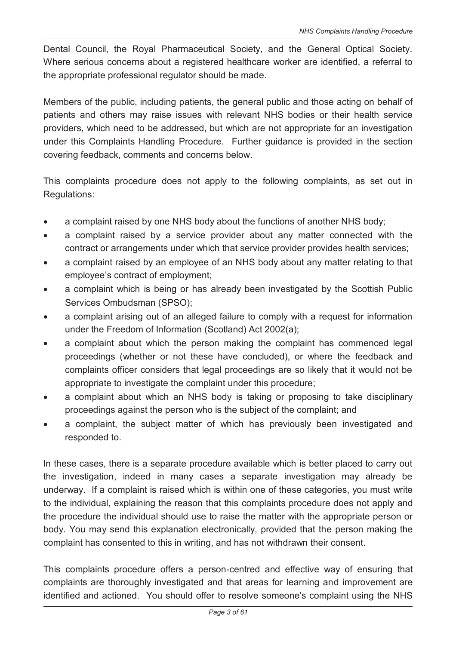Dental Council, the Royal Pharmaceutical Society, and the General Optical Society. Where serious concerns about a registered healthcare worker are identified, a referral to the appropriate professional regulator should be made.

Members of the public, including patients, the general public and those acting on behalf of patients and others may raise issues with relevant NHS bodies or their health service providers, which need to be addressed, but which are not appropriate for an investigation under this Complaints Handling Procedure. Further guidance is provided in the section covering feedback, comments and concerns below.

This complaints procedure does not apply to the following complaints, as set out in Regulations:

- · a complaint raised by one NHS body about the functions of another NHS body;
- · a complaint raised by a service provider about any matter connected with the contract or arrangements under which that service provider provides health services;
- · a complaint raised by an employee of an NHS body about any matter relating to that employee's contract of employment;
- a complaint which is being or has already been investigated by the Scottish Public Services Ombudsman (SPSO);
- · a complaint arising out of an alleged failure to comply with a request for information under the Freedom of Information (Scotland) Act 2002(a);
- · a complaint about which the person making the complaint has commenced legal proceedings (whether or not these have concluded), or where the feedback and complaints officer considers that legal proceedings are so likely that it would not be appropriate to investigate the complaint under this procedure;
- a complaint about which an NHS body is taking or proposing to take disciplinary proceedings against the person who is the subject of the complaint; and
- a complaint, the subject matter of which has previously been investigated and responded to.

In these cases, there is a separate procedure available which is better placed to carry out the investigation, indeed in many cases a separate investigation may already be underway. If a complaint is raised which is within one of these categories, you must write to the individual, explaining the reason that this complaints procedure does not apply and the procedure the individual should use to raise the matter with the appropriate person or body. You may send this explanation electronically, provided that the person making the complaint has consented to this in writing, and has not withdrawn their consent.

This complaints procedure offers a person-centred and effective way of ensuring that complaints are thoroughly investigated and that areas for learning and improvement are identified and actioned. You should offer to resolve someone's complaint using the NHS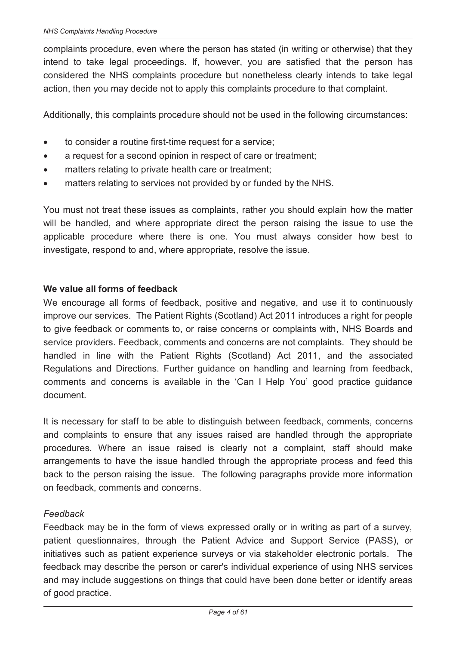complaints procedure, even where the person has stated (in writing or otherwise) that they intend to take legal proceedings. If, however, you are satisfied that the person has considered the NHS complaints procedure but nonetheless clearly intends to take legal action, then you may decide not to apply this complaints procedure to that complaint.

Additionally, this complaints procedure should not be used in the following circumstances:

- · to consider a routine first-time request for a service;
- · a request for a second opinion in respect of care or treatment;
- matters relating to private health care or treatment;
- · matters relating to services not provided by or funded by the NHS.

You must not treat these issues as complaints, rather you should explain how the matter will be handled, and where appropriate direct the person raising the issue to use the applicable procedure where there is one. You must always consider how best to investigate, respond to and, where appropriate, resolve the issue.

#### **We value all forms of feedback**

We encourage all forms of feedback, positive and negative, and use it to continuously improve our services. The Patient Rights (Scotland) Act 2011 introduces a right for people to give feedback or comments to, or raise concerns or complaints with, NHS Boards and service providers. Feedback, comments and concerns are not complaints. They should be handled in line with the Patient Rights (Scotland) Act 2011, and the associated Regulations and Directions. Further guidance on handling and learning from feedback, comments and concerns is available in the 'Can I Help You' good practice guidance document.

It is necessary for staff to be able to distinguish between feedback, comments, concerns and complaints to ensure that any issues raised are handled through the appropriate procedures. Where an issue raised is clearly not a complaint, staff should make arrangements to have the issue handled through the appropriate process and feed this back to the person raising the issue. The following paragraphs provide more information on feedback, comments and concerns.

#### *Feedback*

Feedback may be in the form of views expressed orally or in writing as part of a survey, patient questionnaires, through the Patient Advice and Support Service (PASS), or initiatives such as patient experience surveys or via stakeholder electronic portals. The feedback may describe the person or carer's individual experience of using NHS services and may include suggestions on things that could have been done better or identify areas of good practice.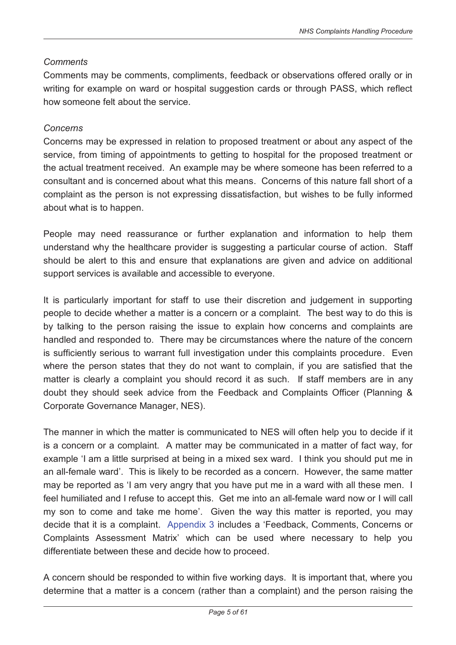#### *Comments*

Comments may be comments, compliments, feedback or observations offered orally or in writing for example on ward or hospital suggestion cards or through PASS, which reflect how someone felt about the service.

#### *Concerns*

Concerns may be expressed in relation to proposed treatment or about any aspect of the service, from timing of appointments to getting to hospital for the proposed treatment or the actual treatment received. An example may be where someone has been referred to a consultant and is concerned about what this means. Concerns of this nature fall short of a complaint as the person is not expressing dissatisfaction, but wishes to be fully informed about what is to happen.

People may need reassurance or further explanation and information to help them understand why the healthcare provider is suggesting a particular course of action. Staff should be alert to this and ensure that explanations are given and advice on additional support services is available and accessible to everyone.

It is particularly important for staff to use their discretion and judgement in supporting people to decide whether a matter is a concern or a complaint. The best way to do this is by talking to the person raising the issue to explain how concerns and complaints are handled and responded to. There may be circumstances where the nature of the concern is sufficiently serious to warrant full investigation under this complaints procedure. Even where the person states that they do not want to complain, if you are satisfied that the matter is clearly a complaint you should record it as such. If staff members are in any doubt they should seek advice from the Feedback and Complaints Officer (Planning & Corporate Governance Manager, NES).

The manner in which the matter is communicated to NES will often help you to decide if it is a concern or a complaint. A matter may be communicated in a matter of fact way, for example 'I am a little surprised at being in a mixed sex ward. I think you should put me in an all-female ward'. This is likely to be recorded as a concern. However, the same matter may be reported as 'I am very angry that you have put me in a ward with all these men. I feel humiliated and I refuse to accept this. Get me into an all-female ward now or I will call my son to come and take me home'. Given the way this matter is reported, you may decide that it is a complaint. Appendix 3 includes a 'Feedback, Comments, Concerns or Complaints Assessment Matrix' which can be used where necessary to help you differentiate between these and decide how to proceed.

A concern should be responded to within five working days. It is important that, where you determine that a matter is a concern (rather than a complaint) and the person raising the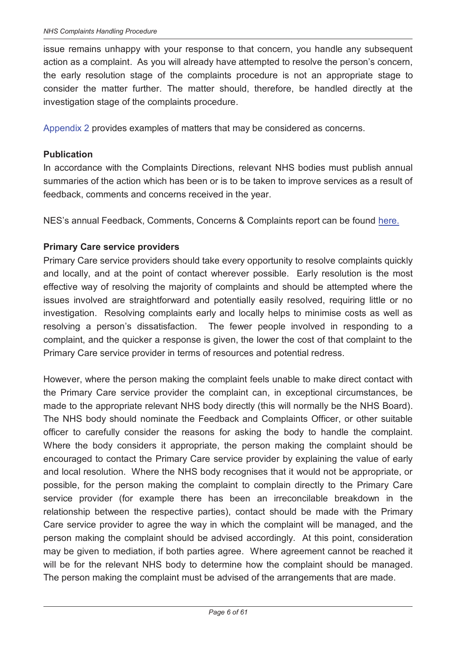issue remains unhappy with your response to that concern, you handle any subsequent action as a complaint. As you will already have attempted to resolve the person's concern, the early resolution stage of the complaints procedure is not an appropriate stage to consider the matter further. The matter should, therefore, be handled directly at the investigation stage of the complaints procedure.

Appendix 2 provides examples of matters that may be considered as concerns.

#### **Publication**

In accordance with the Complaints Directions, relevant NHS bodies must publish annual summaries of the action which has been or is to be taken to improve services as a result of feedback, comments and concerns received in the year.

NES's annual Feedback, Comments, Concerns & Complaints report can be found here.

#### **Primary Care service providers**

Primary Care service providers should take every opportunity to resolve complaints quickly and locally, and at the point of contact wherever possible. Early resolution is the most effective way of resolving the majority of complaints and should be attempted where the issues involved are straightforward and potentially easily resolved, requiring little or no investigation. Resolving complaints early and locally helps to minimise costs as well as resolving a person's dissatisfaction. The fewer people involved in responding to a complaint, and the quicker a response is given, the lower the cost of that complaint to the Primary Care service provider in terms of resources and potential redress.

However, where the person making the complaint feels unable to make direct contact with the Primary Care service provider the complaint can, in exceptional circumstances, be made to the appropriate relevant NHS body directly (this will normally be the NHS Board). The NHS body should nominate the Feedback and Complaints Officer, or other suitable officer to carefully consider the reasons for asking the body to handle the complaint. Where the body considers it appropriate, the person making the complaint should be encouraged to contact the Primary Care service provider by explaining the value of early and local resolution. Where the NHS body recognises that it would not be appropriate, or possible, for the person making the complaint to complain directly to the Primary Care service provider (for example there has been an irreconcilable breakdown in the relationship between the respective parties), contact should be made with the Primary Care service provider to agree the way in which the complaint will be managed, and the person making the complaint should be advised accordingly. At this point, consideration may be given to mediation, if both parties agree. Where agreement cannot be reached it will be for the relevant NHS body to determine how the complaint should be managed. The person making the complaint must be advised of the arrangements that are made.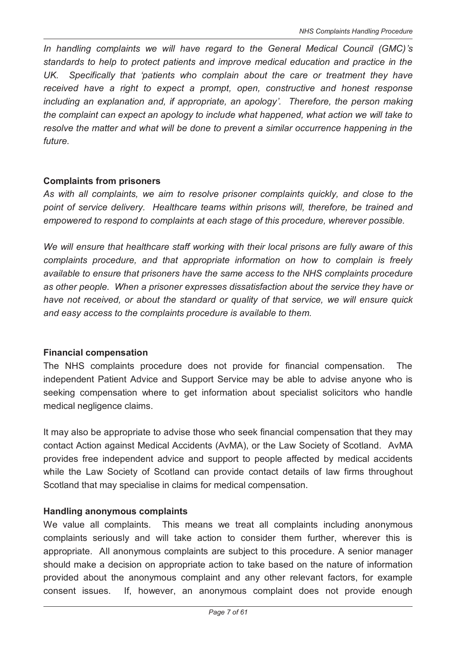*In handling complaints we will have regard to the General Medical Council (GMC)'s standards to help to protect patients and improve medical education and practice in the UK. Specifically that 'patients who complain about the care or treatment they have received have a right to expect a prompt, open, constructive and honest response including an explanation and, if appropriate, an apology'. Therefore, the person making the complaint can expect an apology to include what happened, what action we will take to resolve the matter and what will be done to prevent a similar occurrence happening in the future.* 

#### **Complaints from prisoners**

*As with all complaints, we aim to resolve prisoner complaints quickly, and close to the point of service delivery. Healthcare teams within prisons will, therefore, be trained and empowered to respond to complaints at each stage of this procedure, wherever possible.* 

*We will ensure that healthcare staff working with their local prisons are fully aware of this complaints procedure, and that appropriate information on how to complain is freely available to ensure that prisoners have the same access to the NHS complaints procedure as other people. When a prisoner expresses dissatisfaction about the service they have or have not received, or about the standard or quality of that service, we will ensure quick and easy access to the complaints procedure is available to them.* 

#### **Financial compensation**

The NHS complaints procedure does not provide for financial compensation. The independent Patient Advice and Support Service may be able to advise anyone who is seeking compensation where to get information about specialist solicitors who handle medical negligence claims.

It may also be appropriate to advise those who seek financial compensation that they may contact Action against Medical Accidents (AvMA), or the Law Society of Scotland. AvMA provides free independent advice and support to people affected by medical accidents while the Law Society of Scotland can provide contact details of law firms throughout Scotland that may specialise in claims for medical compensation.

#### **Handling anonymous complaints**

We value all complaints. This means we treat all complaints including anonymous complaints seriously and will take action to consider them further, wherever this is appropriate. All anonymous complaints are subject to this procedure. A senior manager should make a decision on appropriate action to take based on the nature of information provided about the anonymous complaint and any other relevant factors, for example consent issues. If, however, an anonymous complaint does not provide enough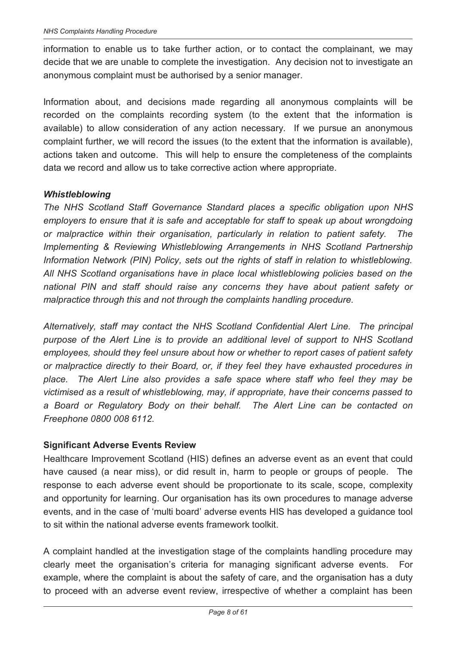information to enable us to take further action, or to contact the complainant, we may decide that we are unable to complete the investigation. Any decision not to investigate an anonymous complaint must be authorised by a senior manager.

Information about, and decisions made regarding all anonymous complaints will be recorded on the complaints recording system (to the extent that the information is available) to allow consideration of any action necessary. If we pursue an anonymous complaint further, we will record the issues (to the extent that the information is available), actions taken and outcome. This will help to ensure the completeness of the complaints data we record and allow us to take corrective action where appropriate.

#### *Whistleblowing*

*The NHS Scotland Staff Governance Standard places a specific obligation upon NHS employers to ensure that it is safe and acceptable for staff to speak up about wrongdoing or malpractice within their organisation, particularly in relation to patient safety. The Implementing & Reviewing Whistleblowing Arrangements in NHS Scotland Partnership Information Network (PIN) Policy, sets out the rights of staff in relation to whistleblowing. All NHS Scotland organisations have in place local whistleblowing policies based on the national PIN and staff should raise any concerns they have about patient safety or malpractice through this and not through the complaints handling procedure.* 

*Alternatively, staff may contact the NHS Scotland Confidential Alert Line. The principal purpose of the Alert Line is to provide an additional level of support to NHS Scotland employees, should they feel unsure about how or whether to report cases of patient safety or malpractice directly to their Board, or, if they feel they have exhausted procedures in place. The Alert Line also provides a safe space where staff who feel they may be victimised as a result of whistleblowing, may, if appropriate, have their concerns passed to a Board or Regulatory Body on their behalf. The Alert Line can be contacted on Freephone 0800 008 6112.* 

#### **Significant Adverse Events Review**

Healthcare Improvement Scotland (HIS) defines an adverse event as an event that could have caused (a near miss), or did result in, harm to people or groups of people. The response to each adverse event should be proportionate to its scale, scope, complexity and opportunity for learning. Our organisation has its own procedures to manage adverse events, and in the case of 'multi board' adverse events HIS has developed a guidance tool to sit within the national adverse events framework toolkit.

A complaint handled at the investigation stage of the complaints handling procedure may clearly meet the organisation's criteria for managing significant adverse events. For example, where the complaint is about the safety of care, and the organisation has a duty to proceed with an adverse event review, irrespective of whether a complaint has been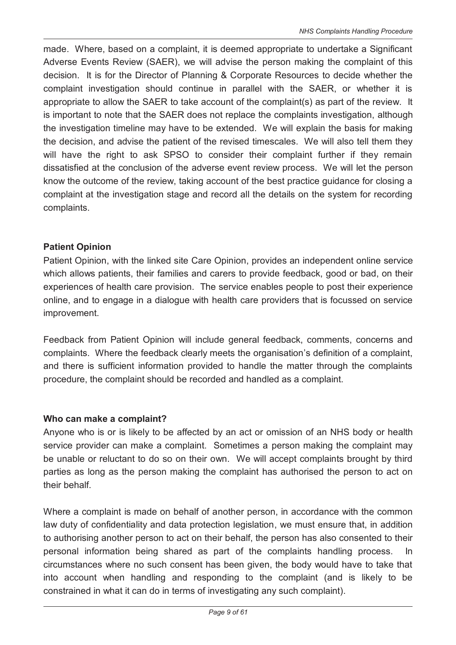made. Where, based on a complaint, it is deemed appropriate to undertake a Significant Adverse Events Review (SAER), we will advise the person making the complaint of this decision. It is for the Director of Planning & Corporate Resources to decide whether the complaint investigation should continue in parallel with the SAER, or whether it is appropriate to allow the SAER to take account of the complaint(s) as part of the review. It is important to note that the SAER does not replace the complaints investigation, although the investigation timeline may have to be extended. We will explain the basis for making the decision, and advise the patient of the revised timescales. We will also tell them they will have the right to ask SPSO to consider their complaint further if they remain dissatisfied at the conclusion of the adverse event review process. We will let the person know the outcome of the review, taking account of the best practice guidance for closing a complaint at the investigation stage and record all the details on the system for recording complaints.

#### **Patient Opinion**

Patient Opinion, with the linked site Care Opinion, provides an independent online service which allows patients, their families and carers to provide feedback, good or bad, on their experiences of health care provision. The service enables people to post their experience online, and to engage in a dialogue with health care providers that is focussed on service improvement.

Feedback from Patient Opinion will include general feedback, comments, concerns and complaints. Where the feedback clearly meets the organisation's definition of a complaint, and there is sufficient information provided to handle the matter through the complaints procedure, the complaint should be recorded and handled as a complaint.

#### **Who can make a complaint?**

Anyone who is or is likely to be affected by an act or omission of an NHS body or health service provider can make a complaint. Sometimes a person making the complaint may be unable or reluctant to do so on their own. We will accept complaints brought by third parties as long as the person making the complaint has authorised the person to act on their behalf.

Where a complaint is made on behalf of another person, in accordance with the common law duty of confidentiality and data protection legislation, we must ensure that, in addition to authorising another person to act on their behalf, the person has also consented to their personal information being shared as part of the complaints handling process. In circumstances where no such consent has been given, the body would have to take that into account when handling and responding to the complaint (and is likely to be constrained in what it can do in terms of investigating any such complaint).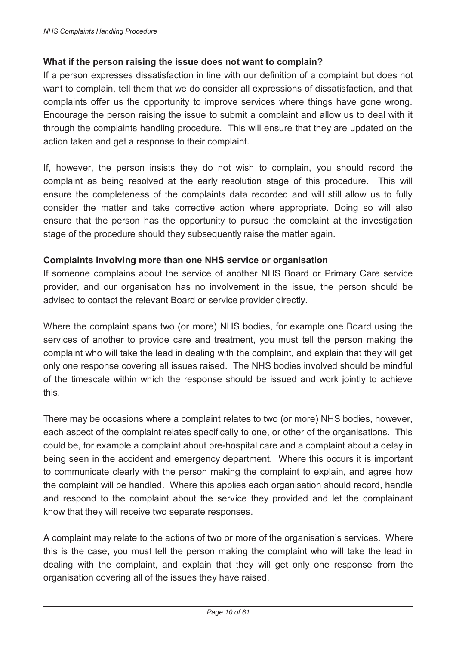#### **What if the person raising the issue does not want to complain?**

If a person expresses dissatisfaction in line with our definition of a complaint but does not want to complain, tell them that we do consider all expressions of dissatisfaction, and that complaints offer us the opportunity to improve services where things have gone wrong. Encourage the person raising the issue to submit a complaint and allow us to deal with it through the complaints handling procedure. This will ensure that they are updated on the action taken and get a response to their complaint.

If, however, the person insists they do not wish to complain, you should record the complaint as being resolved at the early resolution stage of this procedure. This will ensure the completeness of the complaints data recorded and will still allow us to fully consider the matter and take corrective action where appropriate. Doing so will also ensure that the person has the opportunity to pursue the complaint at the investigation stage of the procedure should they subsequently raise the matter again.

#### **Complaints involving more than one NHS service or organisation**

If someone complains about the service of another NHS Board or Primary Care service provider, and our organisation has no involvement in the issue, the person should be advised to contact the relevant Board or service provider directly.

Where the complaint spans two (or more) NHS bodies, for example one Board using the services of another to provide care and treatment, you must tell the person making the complaint who will take the lead in dealing with the complaint, and explain that they will get only one response covering all issues raised. The NHS bodies involved should be mindful of the timescale within which the response should be issued and work jointly to achieve this.

There may be occasions where a complaint relates to two (or more) NHS bodies, however, each aspect of the complaint relates specifically to one, or other of the organisations. This could be, for example a complaint about pre-hospital care and a complaint about a delay in being seen in the accident and emergency department. Where this occurs it is important to communicate clearly with the person making the complaint to explain, and agree how the complaint will be handled. Where this applies each organisation should record, handle and respond to the complaint about the service they provided and let the complainant know that they will receive two separate responses.

A complaint may relate to the actions of two or more of the organisation's services. Where this is the case, you must tell the person making the complaint who will take the lead in dealing with the complaint, and explain that they will get only one response from the organisation covering all of the issues they have raised.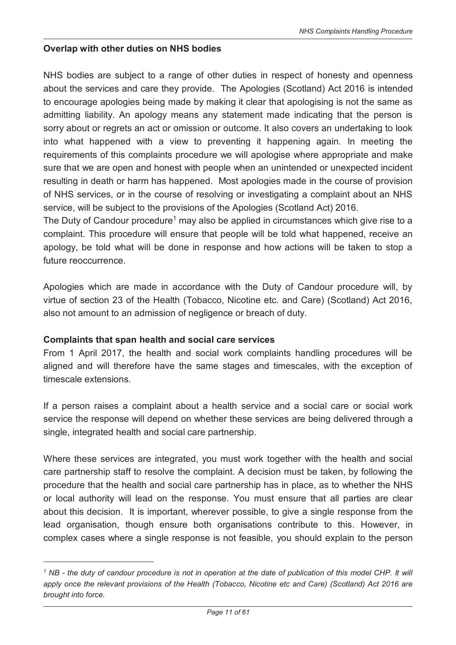#### **Overlap with other duties on NHS bodies**

NHS bodies are subject to a range of other duties in respect of honesty and openness about the services and care they provide. The Apologies (Scotland) Act 2016 is intended to encourage apologies being made by making it clear that apologising is not the same as admitting liability. An apology means any statement made indicating that the person is sorry about or regrets an act or omission or outcome. It also covers an undertaking to look into what happened with a view to preventing it happening again. In meeting the requirements of this complaints procedure we will apologise where appropriate and make sure that we are open and honest with people when an unintended or unexpected incident resulting in death or harm has happened. Most apologies made in the course of provision of NHS services, or in the course of resolving or investigating a complaint about an NHS service, will be subject to the provisions of the Apologies (Scotland Act) 2016.

The Duty of Candour procedure<sup>1</sup> may also be applied in circumstances which give rise to a complaint. This procedure will ensure that people will be told what happened, receive an apology, be told what will be done in response and how actions will be taken to stop a future reoccurrence.

Apologies which are made in accordance with the Duty of Candour procedure will, by virtue of section 23 of the Health (Tobacco, Nicotine etc. and Care) (Scotland) Act 2016, also not amount to an admission of negligence or breach of duty.

#### **Complaints that span health and social care services**

 $\overline{a}$ 

From 1 April 2017, the health and social work complaints handling procedures will be aligned and will therefore have the same stages and timescales, with the exception of timescale extensions.

If a person raises a complaint about a health service and a social care or social work service the response will depend on whether these services are being delivered through a single, integrated health and social care partnership.

Where these services are integrated, you must work together with the health and social care partnership staff to resolve the complaint. A decision must be taken, by following the procedure that the health and social care partnership has in place, as to whether the NHS or local authority will lead on the response. You must ensure that all parties are clear about this decision. It is important, wherever possible, to give a single response from the lead organisation, though ensure both organisations contribute to this. However, in complex cases where a single response is not feasible, you should explain to the person

<sup>&</sup>lt;sup>1</sup> NB - the duty of candour procedure is not in operation at the date of publication of this model CHP. It will *apply once the relevant provisions of the Health (Tobacco, Nicotine etc and Care) (Scotland) Act 2016 are brought into force.*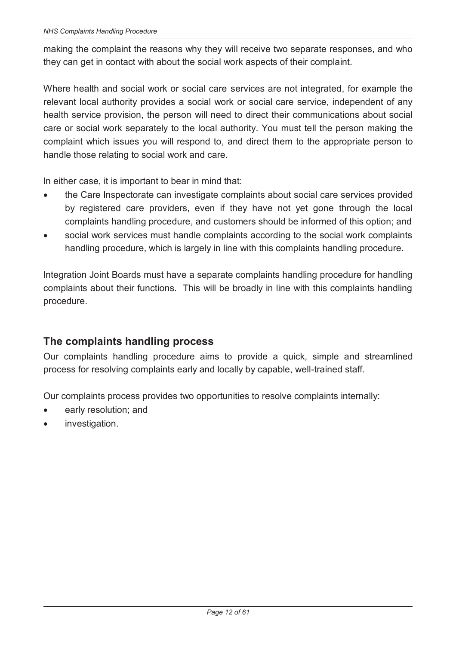making the complaint the reasons why they will receive two separate responses, and who they can get in contact with about the social work aspects of their complaint.

Where health and social work or social care services are not integrated, for example the relevant local authority provides a social work or social care service, independent of any health service provision, the person will need to direct their communications about social care or social work separately to the local authority. You must tell the person making the complaint which issues you will respond to, and direct them to the appropriate person to handle those relating to social work and care.

In either case, it is important to bear in mind that:

- · the Care Inspectorate can investigate complaints about social care services provided by registered care providers, even if they have not yet gone through the local complaints handling procedure, and customers should be informed of this option; and
- social work services must handle complaints according to the social work complaints handling procedure, which is largely in line with this complaints handling procedure.

Integration Joint Boards must have a separate complaints handling procedure for handling complaints about their functions. This will be broadly in line with this complaints handling procedure.

# **The complaints handling process**

Our complaints handling procedure aims to provide a quick, simple and streamlined process for resolving complaints early and locally by capable, well-trained staff.

Our complaints process provides two opportunities to resolve complaints internally:

- early resolution; and
- investigation.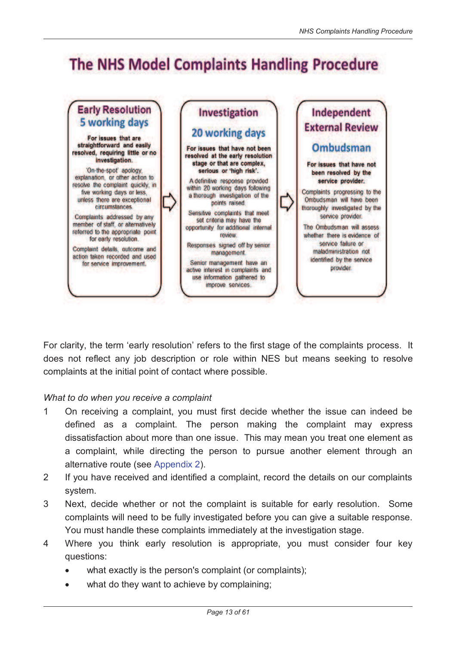# **The NHS Model Complaints Handling Procedure**



For clarity, the term 'early resolution' refers to the first stage of the complaints process. It does not reflect any job description or role within NES but means seeking to resolve complaints at the initial point of contact where possible.

#### *What to do when you receive a complaint*

- 1 On receiving a complaint, you must first decide whether the issue can indeed be defined as a complaint. The person making the complaint may express dissatisfaction about more than one issue. This may mean you treat one element as a complaint, while directing the person to pursue another element through an alternative route (see Appendix 2).
- 2 If you have received and identified a complaint, record the details on our complaints system.
- 3 Next, decide whether or not the complaint is suitable for early resolution. Some complaints will need to be fully investigated before you can give a suitable response. You must handle these complaints immediately at the investigation stage.
- 4 Where you think early resolution is appropriate, you must consider four key questions:
	- what exactly is the person's complaint (or complaints);
	- what do they want to achieve by complaining;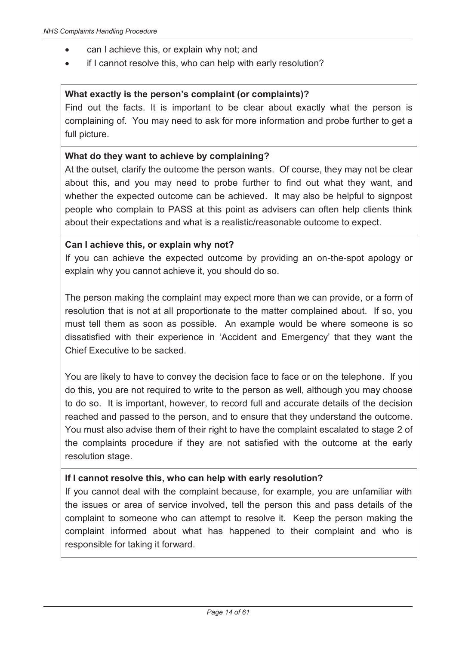- can I achieve this, or explain why not; and
- · if I cannot resolve this, who can help with early resolution?

#### **What exactly is the person's complaint (or complaints)?**

Find out the facts. It is important to be clear about exactly what the person is complaining of. You may need to ask for more information and probe further to get a full picture.

#### **What do they want to achieve by complaining?**

At the outset, clarify the outcome the person wants. Of course, they may not be clear about this, and you may need to probe further to find out what they want, and whether the expected outcome can be achieved. It may also be helpful to signpost people who complain to PASS at this point as advisers can often help clients think about their expectations and what is a realistic/reasonable outcome to expect.

#### **Can I achieve this, or explain why not?**

If you can achieve the expected outcome by providing an on-the-spot apology or explain why you cannot achieve it, you should do so.

The person making the complaint may expect more than we can provide, or a form of resolution that is not at all proportionate to the matter complained about. If so, you must tell them as soon as possible. An example would be where someone is so dissatisfied with their experience in 'Accident and Emergency' that they want the Chief Executive to be sacked.

You are likely to have to convey the decision face to face or on the telephone. If you do this, you are not required to write to the person as well, although you may choose to do so. It is important, however, to record full and accurate details of the decision reached and passed to the person, and to ensure that they understand the outcome. You must also advise them of their right to have the complaint escalated to stage 2 of the complaints procedure if they are not satisfied with the outcome at the early resolution stage.

#### **If I cannot resolve this, who can help with early resolution?**

If you cannot deal with the complaint because, for example, you are unfamiliar with the issues or area of service involved, tell the person this and pass details of the complaint to someone who can attempt to resolve it. Keep the person making the complaint informed about what has happened to their complaint and who is responsible for taking it forward.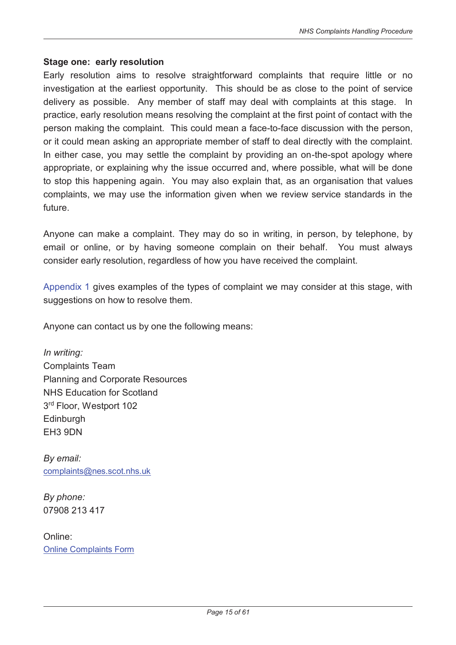#### **Stage one: early resolution**

Early resolution aims to resolve straightforward complaints that require little or no investigation at the earliest opportunity. This should be as close to the point of service delivery as possible. Any member of staff may deal with complaints at this stage. In practice, early resolution means resolving the complaint at the first point of contact with the person making the complaint. This could mean a face-to-face discussion with the person, or it could mean asking an appropriate member of staff to deal directly with the complaint. In either case, you may settle the complaint by providing an on-the-spot apology where appropriate, or explaining why the issue occurred and, where possible, what will be done to stop this happening again. You may also explain that, as an organisation that values complaints, we may use the information given when we review service standards in the future.

Anyone can make a complaint. They may do so in writing, in person, by telephone, by email or online, or by having someone complain on their behalf. You must always consider early resolution, regardless of how you have received the complaint.

Appendix 1 gives examples of the types of complaint we may consider at this stage, with suggestions on how to resolve them.

Anyone can contact us by one the following means:

*In writing:*  Complaints Team Planning and Corporate Resources NHS Education for Scotland 3 rd Floor, Westport 102 **Edinburgh** EH3 9DN

*By email:*  complaints@nes.scot.nhs.uk

*By phone:*  07908 213 417

Online: Online Complaints Form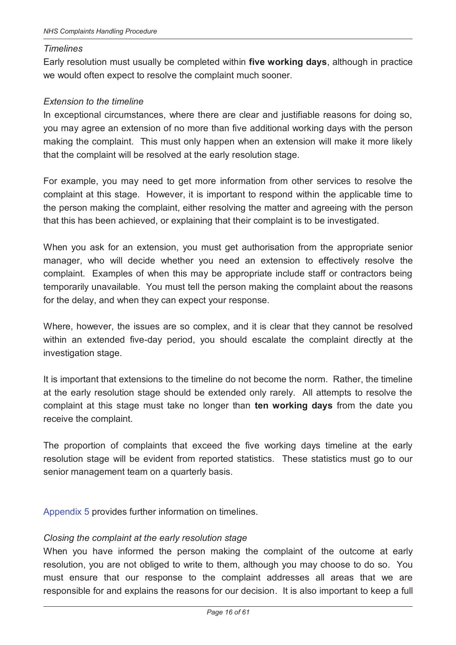#### *Timelines*

Early resolution must usually be completed within **five working days**, although in practice we would often expect to resolve the complaint much sooner.

#### *Extension to the timeline*

In exceptional circumstances, where there are clear and justifiable reasons for doing so, you may agree an extension of no more than five additional working days with the person making the complaint. This must only happen when an extension will make it more likely that the complaint will be resolved at the early resolution stage.

For example, you may need to get more information from other services to resolve the complaint at this stage. However, it is important to respond within the applicable time to the person making the complaint, either resolving the matter and agreeing with the person that this has been achieved, or explaining that their complaint is to be investigated.

When you ask for an extension, you must get authorisation from the appropriate senior manager, who will decide whether you need an extension to effectively resolve the complaint. Examples of when this may be appropriate include staff or contractors being temporarily unavailable. You must tell the person making the complaint about the reasons for the delay, and when they can expect your response.

Where, however, the issues are so complex, and it is clear that they cannot be resolved within an extended five-day period, you should escalate the complaint directly at the investigation stage.

It is important that extensions to the timeline do not become the norm. Rather, the timeline at the early resolution stage should be extended only rarely. All attempts to resolve the complaint at this stage must take no longer than **ten working days** from the date you receive the complaint.

The proportion of complaints that exceed the five working days timeline at the early resolution stage will be evident from reported statistics. These statistics must go to our senior management team on a quarterly basis.

Appendix 5 provides further information on timelines.

#### *Closing the complaint at the early resolution stage*

When you have informed the person making the complaint of the outcome at early resolution, you are not obliged to write to them, although you may choose to do so. You must ensure that our response to the complaint addresses all areas that we are responsible for and explains the reasons for our decision. It is also important to keep a full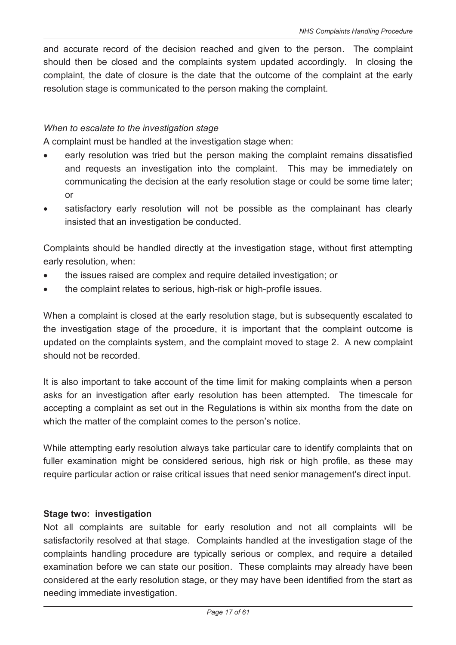and accurate record of the decision reached and given to the person. The complaint should then be closed and the complaints system updated accordingly. In closing the complaint, the date of closure is the date that the outcome of the complaint at the early resolution stage is communicated to the person making the complaint.

#### *When to escalate to the investigation stage*

A complaint must be handled at the investigation stage when:

- early resolution was tried but the person making the complaint remains dissatisfied and requests an investigation into the complaint. This may be immediately on communicating the decision at the early resolution stage or could be some time later; or
- · satisfactory early resolution will not be possible as the complainant has clearly insisted that an investigation be conducted.

Complaints should be handled directly at the investigation stage, without first attempting early resolution, when:

- · the issues raised are complex and require detailed investigation; or
- · the complaint relates to serious, high-risk or high-profile issues.

When a complaint is closed at the early resolution stage, but is subsequently escalated to the investigation stage of the procedure, it is important that the complaint outcome is updated on the complaints system, and the complaint moved to stage 2. A new complaint should not be recorded.

It is also important to take account of the time limit for making complaints when a person asks for an investigation after early resolution has been attempted. The timescale for accepting a complaint as set out in the Regulations is within six months from the date on which the matter of the complaint comes to the person's notice.

While attempting early resolution always take particular care to identify complaints that on fuller examination might be considered serious, high risk or high profile, as these may require particular action or raise critical issues that need senior management's direct input.

#### **Stage two: investigation**

Not all complaints are suitable for early resolution and not all complaints will be satisfactorily resolved at that stage. Complaints handled at the investigation stage of the complaints handling procedure are typically serious or complex, and require a detailed examination before we can state our position. These complaints may already have been considered at the early resolution stage, or they may have been identified from the start as needing immediate investigation.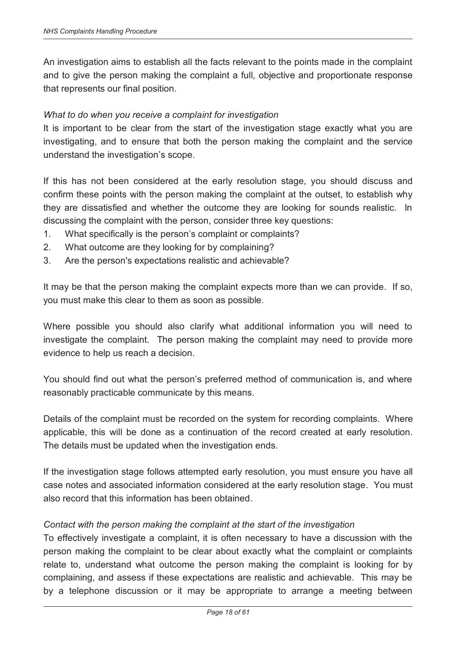An investigation aims to establish all the facts relevant to the points made in the complaint and to give the person making the complaint a full, objective and proportionate response that represents our final position.

#### *What to do when you receive a complaint for investigation*

It is important to be clear from the start of the investigation stage exactly what you are investigating, and to ensure that both the person making the complaint and the service understand the investigation's scope.

If this has not been considered at the early resolution stage, you should discuss and confirm these points with the person making the complaint at the outset, to establish why they are dissatisfied and whether the outcome they are looking for sounds realistic. In discussing the complaint with the person, consider three key questions:

- 1. What specifically is the person's complaint or complaints?
- 2. What outcome are they looking for by complaining?
- 3. Are the person's expectations realistic and achievable?

It may be that the person making the complaint expects more than we can provide. If so, you must make this clear to them as soon as possible.

Where possible you should also clarify what additional information you will need to investigate the complaint. The person making the complaint may need to provide more evidence to help us reach a decision.

You should find out what the person's preferred method of communication is, and where reasonably practicable communicate by this means.

Details of the complaint must be recorded on the system for recording complaints. Where applicable, this will be done as a continuation of the record created at early resolution. The details must be updated when the investigation ends.

If the investigation stage follows attempted early resolution, you must ensure you have all case notes and associated information considered at the early resolution stage. You must also record that this information has been obtained.

#### *Contact with the person making the complaint at the start of the investigation*

To effectively investigate a complaint, it is often necessary to have a discussion with the person making the complaint to be clear about exactly what the complaint or complaints relate to, understand what outcome the person making the complaint is looking for by complaining, and assess if these expectations are realistic and achievable. This may be by a telephone discussion or it may be appropriate to arrange a meeting between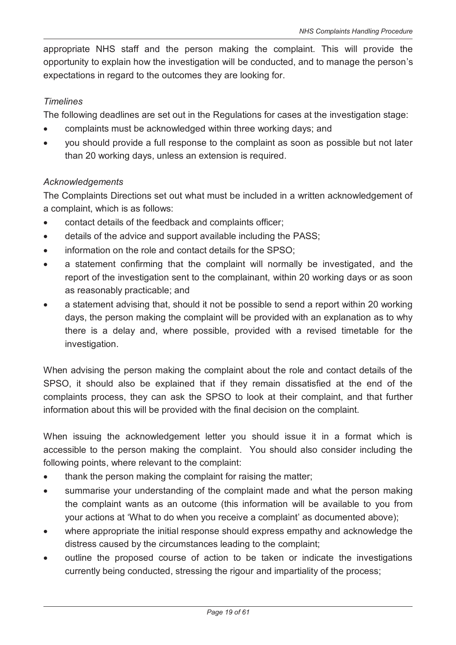appropriate NHS staff and the person making the complaint. This will provide the opportunity to explain how the investigation will be conducted, and to manage the person's expectations in regard to the outcomes they are looking for.

#### *Timelines*

The following deadlines are set out in the Regulations for cases at the investigation stage:

- · complaints must be acknowledged within three working days; and
- · you should provide a full response to the complaint as soon as possible but not later than 20 working days, unless an extension is required.

#### *Acknowledgements*

The Complaints Directions set out what must be included in a written acknowledgement of a complaint, which is as follows:

- · contact details of the feedback and complaints officer;
- · details of the advice and support available including the PASS;
- information on the role and contact details for the SPSO;
- · a statement confirming that the complaint will normally be investigated, and the report of the investigation sent to the complainant, within 20 working days or as soon as reasonably practicable; and
- a statement advising that, should it not be possible to send a report within 20 working days, the person making the complaint will be provided with an explanation as to why there is a delay and, where possible, provided with a revised timetable for the investigation.

When advising the person making the complaint about the role and contact details of the SPSO, it should also be explained that if they remain dissatisfied at the end of the complaints process, they can ask the SPSO to look at their complaint, and that further information about this will be provided with the final decision on the complaint.

When issuing the acknowledgement letter you should issue it in a format which is accessible to the person making the complaint. You should also consider including the following points, where relevant to the complaint:

- thank the person making the complaint for raising the matter;
- summarise your understanding of the complaint made and what the person making the complaint wants as an outcome (this information will be available to you from your actions at 'What to do when you receive a complaint' as documented above);
- · where appropriate the initial response should express empathy and acknowledge the distress caused by the circumstances leading to the complaint;
- outline the proposed course of action to be taken or indicate the investigations currently being conducted, stressing the rigour and impartiality of the process;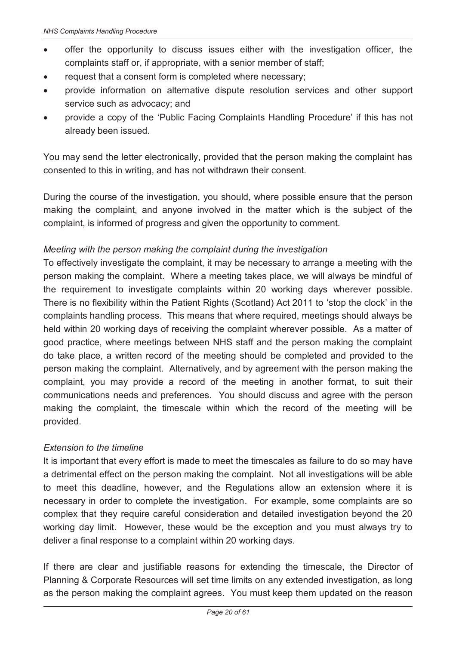- · offer the opportunity to discuss issues either with the investigation officer, the complaints staff or, if appropriate, with a senior member of staff;
- request that a consent form is completed where necessary;
- · provide information on alternative dispute resolution services and other support service such as advocacy; and
- · provide a copy of the 'Public Facing Complaints Handling Procedure' if this has not already been issued.

You may send the letter electronically, provided that the person making the complaint has consented to this in writing, and has not withdrawn their consent.

During the course of the investigation, you should, where possible ensure that the person making the complaint, and anyone involved in the matter which is the subject of the complaint, is informed of progress and given the opportunity to comment.

#### *Meeting with the person making the complaint during the investigation*

To effectively investigate the complaint, it may be necessary to arrange a meeting with the person making the complaint. Where a meeting takes place, we will always be mindful of the requirement to investigate complaints within 20 working days wherever possible. There is no flexibility within the Patient Rights (Scotland) Act 2011 to 'stop the clock' in the complaints handling process. This means that where required, meetings should always be held within 20 working days of receiving the complaint wherever possible. As a matter of good practice, where meetings between NHS staff and the person making the complaint do take place, a written record of the meeting should be completed and provided to the person making the complaint. Alternatively, and by agreement with the person making the complaint, you may provide a record of the meeting in another format, to suit their communications needs and preferences. You should discuss and agree with the person making the complaint, the timescale within which the record of the meeting will be provided.

#### *Extension to the timeline*

It is important that every effort is made to meet the timescales as failure to do so may have a detrimental effect on the person making the complaint. Not all investigations will be able to meet this deadline, however, and the Regulations allow an extension where it is necessary in order to complete the investigation. For example, some complaints are so complex that they require careful consideration and detailed investigation beyond the 20 working day limit. However, these would be the exception and you must always try to deliver a final response to a complaint within 20 working days.

If there are clear and justifiable reasons for extending the timescale, the Director of Planning & Corporate Resources will set time limits on any extended investigation, as long as the person making the complaint agrees. You must keep them updated on the reason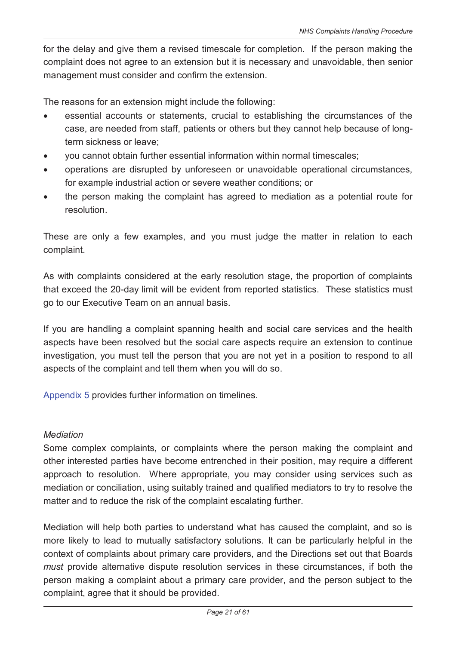for the delay and give them a revised timescale for completion. If the person making the complaint does not agree to an extension but it is necessary and unavoidable, then senior management must consider and confirm the extension.

The reasons for an extension might include the following:

- · essential accounts or statements, crucial to establishing the circumstances of the case, are needed from staff, patients or others but they cannot help because of longterm sickness or leave;
- · you cannot obtain further essential information within normal timescales;
- · operations are disrupted by unforeseen or unavoidable operational circumstances, for example industrial action or severe weather conditions; or
- · the person making the complaint has agreed to mediation as a potential route for resolution.

These are only a few examples, and you must judge the matter in relation to each complaint.

As with complaints considered at the early resolution stage, the proportion of complaints that exceed the 20-day limit will be evident from reported statistics. These statistics must go to our Executive Team on an annual basis.

If you are handling a complaint spanning health and social care services and the health aspects have been resolved but the social care aspects require an extension to continue investigation, you must tell the person that you are not yet in a position to respond to all aspects of the complaint and tell them when you will do so.

Appendix 5 provides further information on timelines.

#### *Mediation*

Some complex complaints, or complaints where the person making the complaint and other interested parties have become entrenched in their position, may require a different approach to resolution. Where appropriate, you may consider using services such as mediation or conciliation, using suitably trained and qualified mediators to try to resolve the matter and to reduce the risk of the complaint escalating further.

Mediation will help both parties to understand what has caused the complaint, and so is more likely to lead to mutually satisfactory solutions. It can be particularly helpful in the context of complaints about primary care providers, and the Directions set out that Boards *must* provide alternative dispute resolution services in these circumstances, if both the person making a complaint about a primary care provider, and the person subject to the complaint, agree that it should be provided.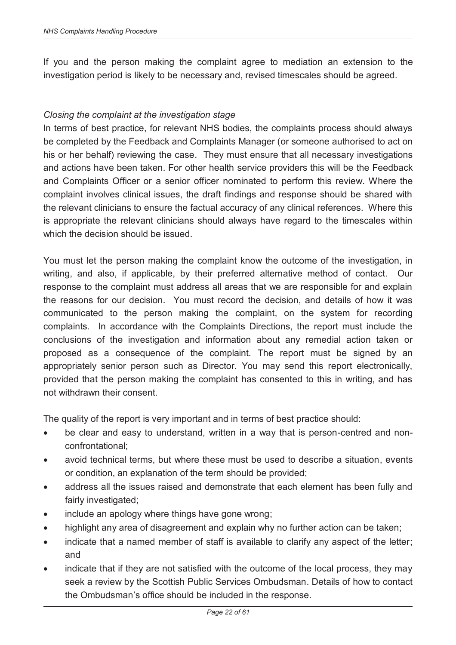If you and the person making the complaint agree to mediation an extension to the investigation period is likely to be necessary and, revised timescales should be agreed.

#### *Closing the complaint at the investigation stage*

In terms of best practice, for relevant NHS bodies, the complaints process should always be completed by the Feedback and Complaints Manager (or someone authorised to act on his or her behalf) reviewing the case. They must ensure that all necessary investigations and actions have been taken. For other health service providers this will be the Feedback and Complaints Officer or a senior officer nominated to perform this review. Where the complaint involves clinical issues, the draft findings and response should be shared with the relevant clinicians to ensure the factual accuracy of any clinical references. Where this is appropriate the relevant clinicians should always have regard to the timescales within which the decision should be issued.

You must let the person making the complaint know the outcome of the investigation, in writing, and also, if applicable, by their preferred alternative method of contact. Our response to the complaint must address all areas that we are responsible for and explain the reasons for our decision. You must record the decision, and details of how it was communicated to the person making the complaint, on the system for recording complaints. In accordance with the Complaints Directions, the report must include the conclusions of the investigation and information about any remedial action taken or proposed as a consequence of the complaint. The report must be signed by an appropriately senior person such as Director*.* You may send this report electronically, provided that the person making the complaint has consented to this in writing, and has not withdrawn their consent.

The quality of the report is very important and in terms of best practice should:

- be clear and easy to understand, written in a way that is person-centred and nonconfrontational;
- avoid technical terms, but where these must be used to describe a situation, events or condition, an explanation of the term should be provided;
- · address all the issues raised and demonstrate that each element has been fully and fairly investigated;
- include an apology where things have gone wrong;
- · highlight any area of disagreement and explain why no further action can be taken;
- indicate that a named member of staff is available to clarify any aspect of the letter; and
- indicate that if they are not satisfied with the outcome of the local process, they may seek a review by the Scottish Public Services Ombudsman. Details of how to contact the Ombudsman's office should be included in the response.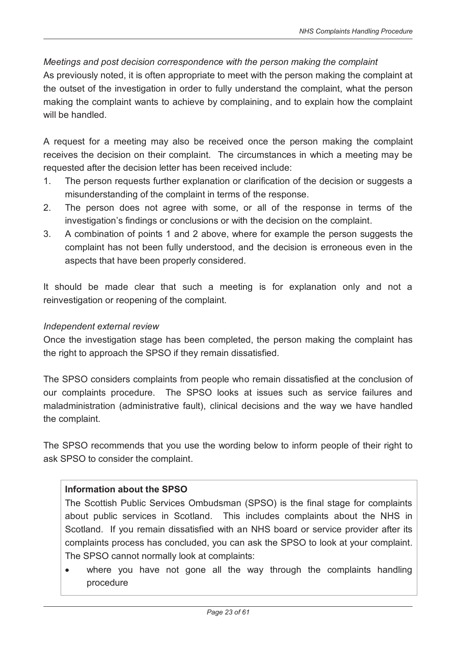#### *Meetings and post decision correspondence with the person making the complaint*

As previously noted, it is often appropriate to meet with the person making the complaint at the outset of the investigation in order to fully understand the complaint, what the person making the complaint wants to achieve by complaining, and to explain how the complaint will be handled

A request for a meeting may also be received once the person making the complaint receives the decision on their complaint. The circumstances in which a meeting may be requested after the decision letter has been received include:

- 1. The person requests further explanation or clarification of the decision or suggests a misunderstanding of the complaint in terms of the response.
- 2. The person does not agree with some, or all of the response in terms of the investigation's findings or conclusions or with the decision on the complaint.
- 3. A combination of points 1 and 2 above, where for example the person suggests the complaint has not been fully understood, and the decision is erroneous even in the aspects that have been properly considered.

It should be made clear that such a meeting is for explanation only and not a reinvestigation or reopening of the complaint.

#### *Independent external review*

Once the investigation stage has been completed, the person making the complaint has the right to approach the SPSO if they remain dissatisfied.

The SPSO considers complaints from people who remain dissatisfied at the conclusion of our complaints procedure. The SPSO looks at issues such as service failures and maladministration (administrative fault), clinical decisions and the way we have handled the complaint.

The SPSO recommends that you use the wording below to inform people of their right to ask SPSO to consider the complaint.

#### **Information about the SPSO**

The Scottish Public Services Ombudsman (SPSO) is the final stage for complaints about public services in Scotland. This includes complaints about the NHS in Scotland. If you remain dissatisfied with an NHS board or service provider after its complaints process has concluded, you can ask the SPSO to look at your complaint. The SPSO cannot normally look at complaints:

· where you have not gone all the way through the complaints handling procedure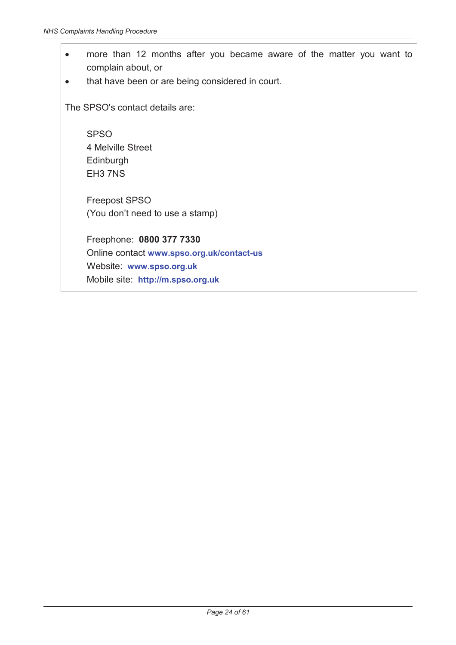- · more than 12 months after you became aware of the matter you want to complain about, or
- · that have been or are being considered in court.

The SPSO's contact details are:

**SPSO** 4 Melville Street Edinburgh EH3 7NS

Freepost SPSO (You don't need to use a stamp)

Freephone: **0800 377 7330** Online contact **www.spso.org.uk/contact-us** Website: **www.spso.org.uk** Mobile site: **http://m.spso.org.uk**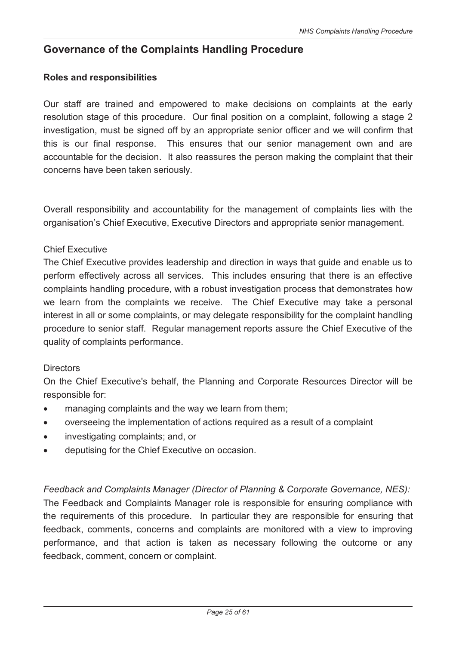# **Governance of the Complaints Handling Procedure**

#### **Roles and responsibilities**

Our staff are trained and empowered to make decisions on complaints at the early resolution stage of this procedure. Our final position on a complaint, following a stage 2 investigation, must be signed off by an appropriate senior officer and we will confirm that this is our final response. This ensures that our senior management own and are accountable for the decision. It also reassures the person making the complaint that their concerns have been taken seriously.

Overall responsibility and accountability for the management of complaints lies with the organisation's Chief Executive, Executive Directors and appropriate senior management.

#### Chief Executive

The Chief Executive provides leadership and direction in ways that guide and enable us to perform effectively across all services. This includes ensuring that there is an effective complaints handling procedure, with a robust investigation process that demonstrates how we learn from the complaints we receive. The Chief Executive may take a personal interest in all or some complaints, or may delegate responsibility for the complaint handling procedure to senior staff. Regular management reports assure the Chief Executive of the quality of complaints performance.

#### **Directors**

On the Chief Executive's behalf, the Planning and Corporate Resources Director will be responsible for:

- · managing complaints and the way we learn from them;
- · overseeing the implementation of actions required as a result of a complaint
- · investigating complaints; and, or
- deputising for the Chief Executive on occasion.

*Feedback and Complaints Manager (Director of Planning & Corporate Governance, NES):*  The Feedback and Complaints Manager role is responsible for ensuring compliance with the requirements of this procedure. In particular they are responsible for ensuring that feedback, comments, concerns and complaints are monitored with a view to improving performance, and that action is taken as necessary following the outcome or any feedback, comment, concern or complaint.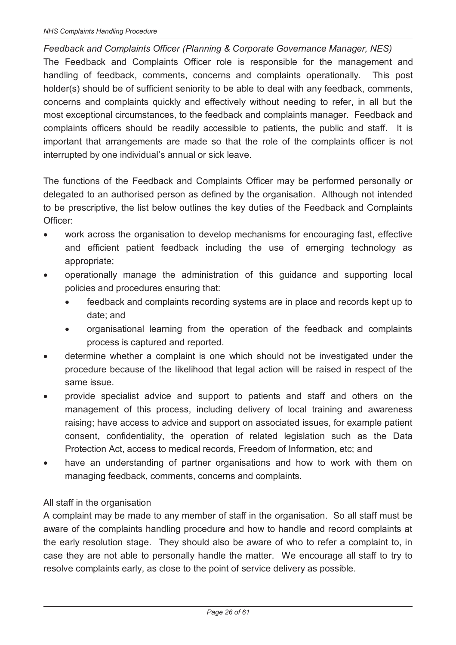*Feedback and Complaints Officer (Planning & Corporate Governance Manager, NES)*  The Feedback and Complaints Officer role is responsible for the management and handling of feedback, comments, concerns and complaints operationally. This post holder(s) should be of sufficient seniority to be able to deal with any feedback, comments, concerns and complaints quickly and effectively without needing to refer, in all but the most exceptional circumstances, to the feedback and complaints manager. Feedback and complaints officers should be readily accessible to patients, the public and staff. It is important that arrangements are made so that the role of the complaints officer is not interrupted by one individual's annual or sick leave.

The functions of the Feedback and Complaints Officer may be performed personally or delegated to an authorised person as defined by the organisation. Although not intended to be prescriptive, the list below outlines the key duties of the Feedback and Complaints Officer:

- work across the organisation to develop mechanisms for encouraging fast, effective and efficient patient feedback including the use of emerging technology as appropriate;
- · operationally manage the administration of this guidance and supporting local policies and procedures ensuring that:
	- feedback and complaints recording systems are in place and records kept up to date; and
	- · organisational learning from the operation of the feedback and complaints process is captured and reported.
- · determine whether a complaint is one which should not be investigated under the procedure because of the likelihood that legal action will be raised in respect of the same issue.
- · provide specialist advice and support to patients and staff and others on the management of this process, including delivery of local training and awareness raising; have access to advice and support on associated issues, for example patient consent, confidentiality, the operation of related legislation such as the Data Protection Act, access to medical records, Freedom of Information, etc; and
- have an understanding of partner organisations and how to work with them on managing feedback, comments, concerns and complaints.

#### All staff in the organisation

A complaint may be made to any member of staff in the organisation. So all staff must be aware of the complaints handling procedure and how to handle and record complaints at the early resolution stage. They should also be aware of who to refer a complaint to, in case they are not able to personally handle the matter. We encourage all staff to try to resolve complaints early, as close to the point of service delivery as possible.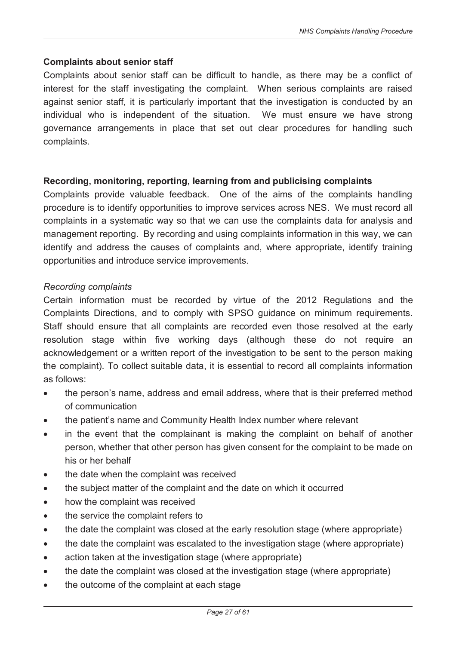#### **Complaints about senior staff**

Complaints about senior staff can be difficult to handle, as there may be a conflict of interest for the staff investigating the complaint. When serious complaints are raised against senior staff, it is particularly important that the investigation is conducted by an individual who is independent of the situation. We must ensure we have strong governance arrangements in place that set out clear procedures for handling such complaints.

#### **Recording, monitoring, reporting, learning from and publicising complaints**

Complaints provide valuable feedback. One of the aims of the complaints handling procedure is to identify opportunities to improve services across NES. We must record all complaints in a systematic way so that we can use the complaints data for analysis and management reporting. By recording and using complaints information in this way, we can identify and address the causes of complaints and, where appropriate, identify training opportunities and introduce service improvements.

#### *Recording complaints*

Certain information must be recorded by virtue of the 2012 Regulations and the Complaints Directions, and to comply with SPSO guidance on minimum requirements. Staff should ensure that all complaints are recorded even those resolved at the early resolution stage within five working days (although these do not require an acknowledgement or a written report of the investigation to be sent to the person making the complaint). To collect suitable data, it is essential to record all complaints information as follows:

- · the person's name, address and email address, where that is their preferred method of communication
- the patient's name and Community Health Index number where relevant
- · in the event that the complainant is making the complaint on behalf of another person, whether that other person has given consent for the complaint to be made on his or her behalf
- · the date when the complaint was received
- · the subject matter of the complaint and the date on which it occurred
- · how the complaint was received
- the service the complaint refers to
- the date the complaint was closed at the early resolution stage (where appropriate)
- the date the complaint was escalated to the investigation stage (where appropriate)
- · action taken at the investigation stage (where appropriate)
- the date the complaint was closed at the investigation stage (where appropriate)
- the outcome of the complaint at each stage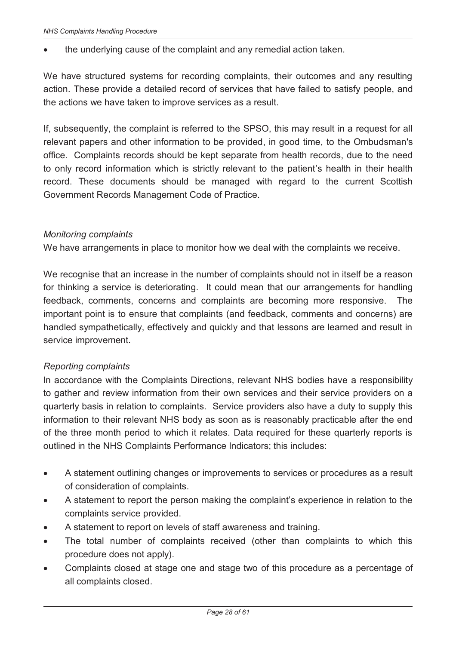the underlying cause of the complaint and any remedial action taken.

We have structured systems for recording complaints, their outcomes and any resulting action. These provide a detailed record of services that have failed to satisfy people, and the actions we have taken to improve services as a result.

If, subsequently, the complaint is referred to the SPSO, this may result in a request for all relevant papers and other information to be provided, in good time, to the Ombudsman's office. Complaints records should be kept separate from health records, due to the need to only record information which is strictly relevant to the patient's health in their health record. These documents should be managed with regard to the current Scottish Government Records Management Code of Practice.

#### *Monitoring complaints*

We have arrangements in place to monitor how we deal with the complaints we receive.

We recognise that an increase in the number of complaints should not in itself be a reason for thinking a service is deteriorating. It could mean that our arrangements for handling feedback, comments, concerns and complaints are becoming more responsive. The important point is to ensure that complaints (and feedback, comments and concerns) are handled sympathetically, effectively and quickly and that lessons are learned and result in service improvement.

#### *Reporting complaints*

In accordance with the Complaints Directions, relevant NHS bodies have a responsibility to gather and review information from their own services and their service providers on a quarterly basis in relation to complaints. Service providers also have a duty to supply this information to their relevant NHS body as soon as is reasonably practicable after the end of the three month period to which it relates. Data required for these quarterly reports is outlined in the NHS Complaints Performance Indicators; this includes:

- · A statement outlining changes or improvements to services or procedures as a result of consideration of complaints.
- · A statement to report the person making the complaint's experience in relation to the complaints service provided.
- · A statement to report on levels of staff awareness and training.
- · The total number of complaints received (other than complaints to which this procedure does not apply).
- Complaints closed at stage one and stage two of this procedure as a percentage of all complaints closed.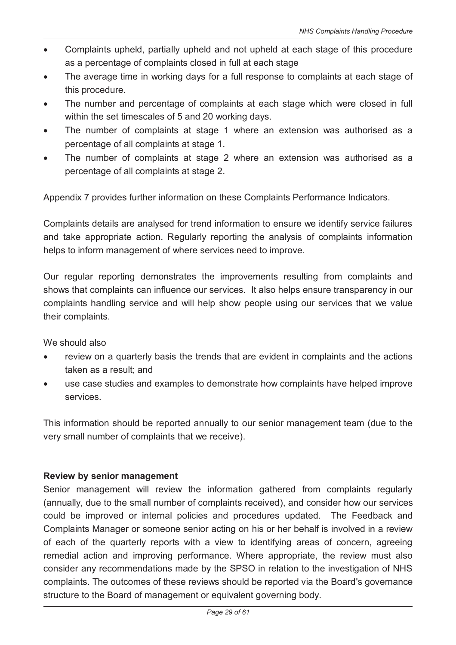- · Complaints upheld, partially upheld and not upheld at each stage of this procedure as a percentage of complaints closed in full at each stage
- The average time in working days for a full response to complaints at each stage of this procedure.
- The number and percentage of complaints at each stage which were closed in full within the set timescales of 5 and 20 working days.
- The number of complaints at stage 1 where an extension was authorised as a percentage of all complaints at stage 1.
- The number of complaints at stage 2 where an extension was authorised as a percentage of all complaints at stage 2.

Appendix 7 provides further information on these Complaints Performance Indicators.

Complaints details are analysed for trend information to ensure we identify service failures and take appropriate action. Regularly reporting the analysis of complaints information helps to inform management of where services need to improve.

Our regular reporting demonstrates the improvements resulting from complaints and shows that complaints can influence our services. It also helps ensure transparency in our complaints handling service and will help show people using our services that we value their complaints.

We should also

- · review on a quarterly basis the trends that are evident in complaints and the actions taken as a result; and
- use case studies and examples to demonstrate how complaints have helped improve services.

This information should be reported annually to our senior management team (due to the very small number of complaints that we receive).

#### **Review by senior management**

Senior management will review the information gathered from complaints regularly (annually, due to the small number of complaints received), and consider how our services could be improved or internal policies and procedures updated. The Feedback and Complaints Manager or someone senior acting on his or her behalf is involved in a review of each of the quarterly reports with a view to identifying areas of concern, agreeing remedial action and improving performance. Where appropriate, the review must also consider any recommendations made by the SPSO in relation to the investigation of NHS complaints. The outcomes of these reviews should be reported via the Board's governance structure to the Board of management or equivalent governing body.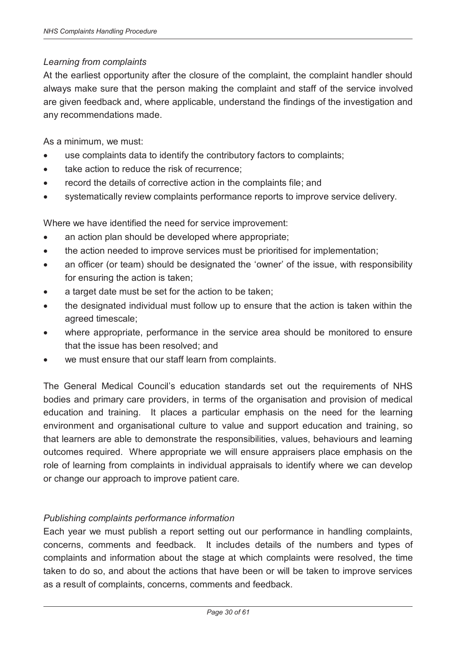#### *Learning from complaints*

At the earliest opportunity after the closure of the complaint, the complaint handler should always make sure that the person making the complaint and staff of the service involved are given feedback and, where applicable, understand the findings of the investigation and any recommendations made.

As a minimum, we must:

- use complaints data to identify the contributory factors to complaints;
- · take action to reduce the risk of recurrence;
- record the details of corrective action in the complaints file; and
- · systematically review complaints performance reports to improve service delivery.

Where we have identified the need for service improvement:

- an action plan should be developed where appropriate;
- · the action needed to improve services must be prioritised for implementation;
- an officer (or team) should be designated the 'owner' of the issue, with responsibility for ensuring the action is taken;
- a target date must be set for the action to be taken;
- the designated individual must follow up to ensure that the action is taken within the agreed timescale;
- where appropriate, performance in the service area should be monitored to ensure that the issue has been resolved; and
- we must ensure that our staff learn from complaints.

The General Medical Council's education standards set out the requirements of NHS bodies and primary care providers, in terms of the organisation and provision of medical education and training. It places a particular emphasis on the need for the learning environment and organisational culture to value and support education and training, so that learners are able to demonstrate the responsibilities, values, behaviours and learning outcomes required. Where appropriate we will ensure appraisers place emphasis on the role of learning from complaints in individual appraisals to identify where we can develop or change our approach to improve patient care.

#### *Publishing complaints performance information*

Each year we must publish a report setting out our performance in handling complaints, concerns, comments and feedback. It includes details of the numbers and types of complaints and information about the stage at which complaints were resolved, the time taken to do so, and about the actions that have been or will be taken to improve services as a result of complaints, concerns, comments and feedback.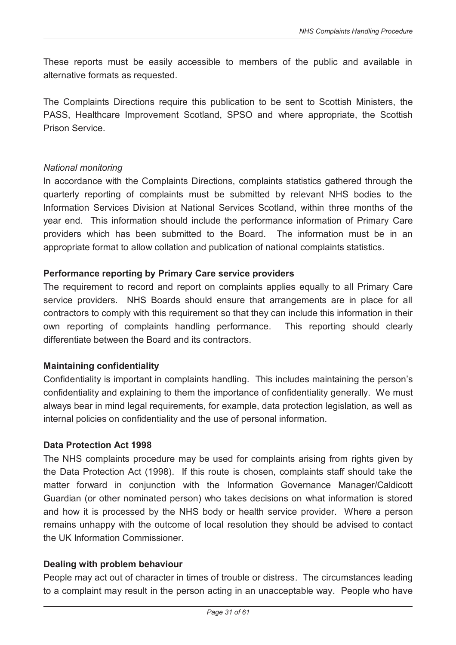These reports must be easily accessible to members of the public and available in alternative formats as requested.

The Complaints Directions require this publication to be sent to Scottish Ministers, the PASS, Healthcare Improvement Scotland, SPSO and where appropriate, the Scottish Prison Service.

#### *National monitoring*

In accordance with the Complaints Directions, complaints statistics gathered through the quarterly reporting of complaints must be submitted by relevant NHS bodies to the Information Services Division at National Services Scotland, within three months of the year end. This information should include the performance information of Primary Care providers which has been submitted to the Board. The information must be in an appropriate format to allow collation and publication of national complaints statistics.

#### **Performance reporting by Primary Care service providers**

The requirement to record and report on complaints applies equally to all Primary Care service providers. NHS Boards should ensure that arrangements are in place for all contractors to comply with this requirement so that they can include this information in their own reporting of complaints handling performance. This reporting should clearly differentiate between the Board and its contractors.

#### **Maintaining confidentiality**

Confidentiality is important in complaints handling. This includes maintaining the person's confidentiality and explaining to them the importance of confidentiality generally. We must always bear in mind legal requirements, for example, data protection legislation, as well as internal policies on confidentiality and the use of personal information.

#### **Data Protection Act 1998**

The NHS complaints procedure may be used for complaints arising from rights given by the Data Protection Act (1998). If this route is chosen, complaints staff should take the matter forward in conjunction with the Information Governance Manager/Caldicott Guardian (or other nominated person) who takes decisions on what information is stored and how it is processed by the NHS body or health service provider. Where a person remains unhappy with the outcome of local resolution they should be advised to contact the UK Information Commissioner.

#### **Dealing with problem behaviour**

People may act out of character in times of trouble or distress. The circumstances leading to a complaint may result in the person acting in an unacceptable way. People who have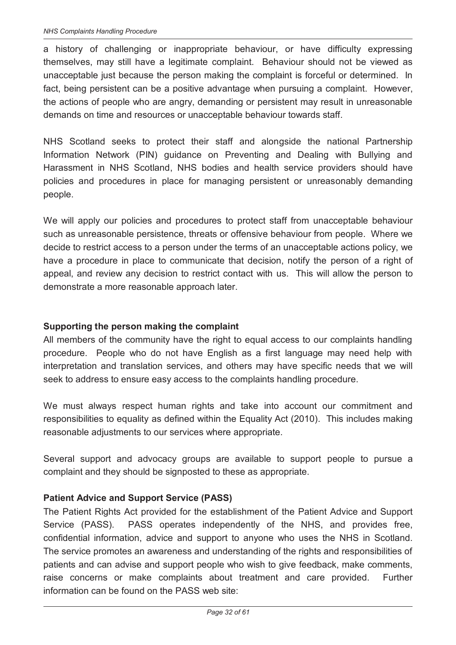a history of challenging or inappropriate behaviour, or have difficulty expressing themselves, may still have a legitimate complaint. Behaviour should not be viewed as unacceptable just because the person making the complaint is forceful or determined. In fact, being persistent can be a positive advantage when pursuing a complaint. However, the actions of people who are angry, demanding or persistent may result in unreasonable demands on time and resources or unacceptable behaviour towards staff.

NHS Scotland seeks to protect their staff and alongside the national Partnership Information Network (PIN) guidance on Preventing and Dealing with Bullying and Harassment in NHS Scotland, NHS bodies and health service providers should have policies and procedures in place for managing persistent or unreasonably demanding people.

We will apply our policies and procedures to protect staff from unacceptable behaviour such as unreasonable persistence, threats or offensive behaviour from people. Where we decide to restrict access to a person under the terms of an unacceptable actions policy, we have a procedure in place to communicate that decision, notify the person of a right of appeal, and review any decision to restrict contact with us. This will allow the person to demonstrate a more reasonable approach later.

#### **Supporting the person making the complaint**

All members of the community have the right to equal access to our complaints handling procedure. People who do not have English as a first language may need help with interpretation and translation services, and others may have specific needs that we will seek to address to ensure easy access to the complaints handling procedure.

We must always respect human rights and take into account our commitment and responsibilities to equality as defined within the Equality Act (2010). This includes making reasonable adjustments to our services where appropriate.

Several support and advocacy groups are available to support people to pursue a complaint and they should be signposted to these as appropriate.

#### **Patient Advice and Support Service (PASS)**

The Patient Rights Act provided for the establishment of the Patient Advice and Support Service (PASS). PASS operates independently of the NHS, and provides free, confidential information, advice and support to anyone who uses the NHS in Scotland. The service promotes an awareness and understanding of the rights and responsibilities of patients and can advise and support people who wish to give feedback, make comments, raise concerns or make complaints about treatment and care provided. Further information can be found on the PASS web site: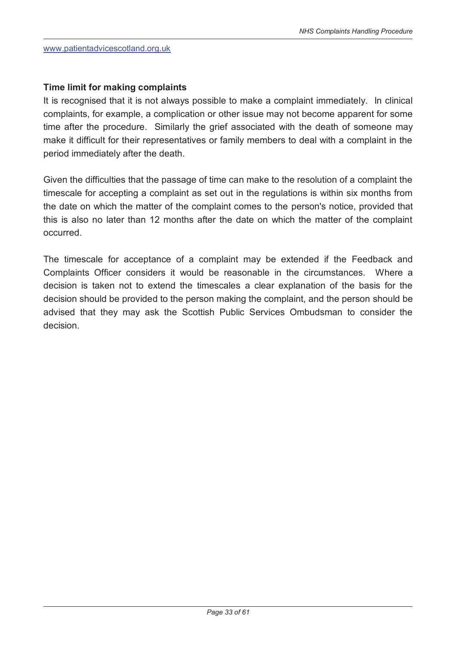#### **Time limit for making complaints**

It is recognised that it is not always possible to make a complaint immediately. In clinical complaints, for example, a complication or other issue may not become apparent for some time after the procedure. Similarly the grief associated with the death of someone may make it difficult for their representatives or family members to deal with a complaint in the period immediately after the death.

Given the difficulties that the passage of time can make to the resolution of a complaint the timescale for accepting a complaint as set out in the regulations is within six months from the date on which the matter of the complaint comes to the person's notice, provided that this is also no later than 12 months after the date on which the matter of the complaint occurred.

The timescale for acceptance of a complaint may be extended if the Feedback and Complaints Officer considers it would be reasonable in the circumstances. Where a decision is taken not to extend the timescales a clear explanation of the basis for the decision should be provided to the person making the complaint, and the person should be advised that they may ask the Scottish Public Services Ombudsman to consider the decision.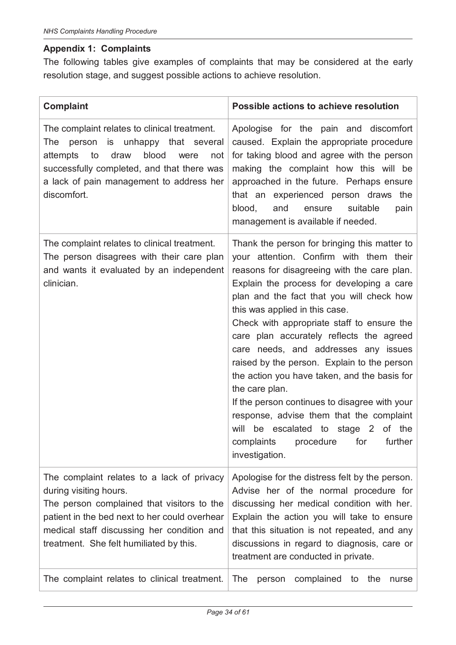# **Appendix 1: Complaints**

The following tables give examples of complaints that may be considered at the early resolution stage, and suggest possible actions to achieve resolution.

| <b>Complaint</b>                                                                                                                                                                                                                                             | Possible actions to achieve resolution                                                                                                                                                                                                                                                                                                                                                                                                                                                                                                                                                                                                                                                                             |  |  |  |
|--------------------------------------------------------------------------------------------------------------------------------------------------------------------------------------------------------------------------------------------------------------|--------------------------------------------------------------------------------------------------------------------------------------------------------------------------------------------------------------------------------------------------------------------------------------------------------------------------------------------------------------------------------------------------------------------------------------------------------------------------------------------------------------------------------------------------------------------------------------------------------------------------------------------------------------------------------------------------------------------|--|--|--|
| The complaint relates to clinical treatment.<br>person is unhappy that several<br>The<br>to<br>blood<br>attempts<br>draw<br>were<br>not<br>successfully completed, and that there was<br>a lack of pain management to address her<br>discomfort.             | Apologise for the pain and discomfort<br>caused. Explain the appropriate procedure<br>for taking blood and agree with the person<br>making the complaint how this will be<br>approached in the future. Perhaps ensure<br>that an experienced person draws the<br>blood,<br>and<br>suitable<br>ensure<br>pain<br>management is available if needed.                                                                                                                                                                                                                                                                                                                                                                 |  |  |  |
| The complaint relates to clinical treatment.<br>The person disagrees with their care plan<br>and wants it evaluated by an independent<br>clinician.                                                                                                          | Thank the person for bringing this matter to<br>your attention. Confirm with them their<br>reasons for disagreeing with the care plan.<br>Explain the process for developing a care<br>plan and the fact that you will check how<br>this was applied in this case.<br>Check with appropriate staff to ensure the<br>care plan accurately reflects the agreed<br>care needs, and addresses any issues<br>raised by the person. Explain to the person<br>the action you have taken, and the basis for<br>the care plan.<br>If the person continues to disagree with your<br>response, advise them that the complaint<br>will be escalated to stage 2 of the<br>complaints procedure for<br>further<br>investigation. |  |  |  |
| The complaint relates to a lack of privacy<br>during visiting hours.<br>The person complained that visitors to the<br>patient in the bed next to her could overhear<br>medical staff discussing her condition and<br>treatment. She felt humiliated by this. | Apologise for the distress felt by the person.<br>Advise her of the normal procedure for<br>discussing her medical condition with her.<br>Explain the action you will take to ensure<br>that this situation is not repeated, and any<br>discussions in regard to diagnosis, care or<br>treatment are conducted in private.                                                                                                                                                                                                                                                                                                                                                                                         |  |  |  |
| The complaint relates to clinical treatment.                                                                                                                                                                                                                 | <b>The</b><br>complained<br>the<br>person<br>to<br>nurse                                                                                                                                                                                                                                                                                                                                                                                                                                                                                                                                                                                                                                                           |  |  |  |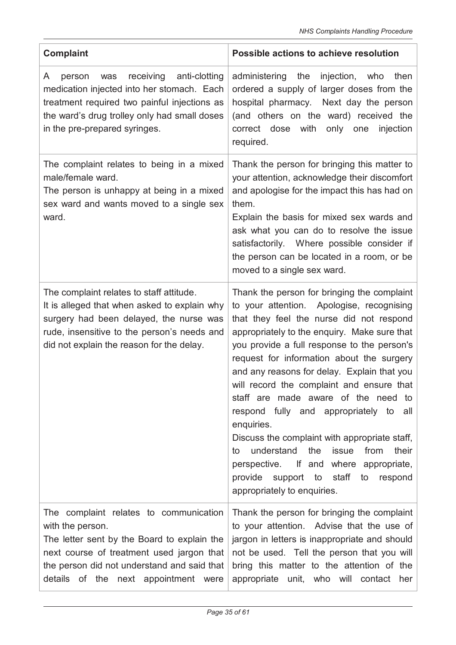| <b>Complaint</b>                                                                                                                                                                                                                              | Possible actions to achieve resolution                                                                                                                                                                                                                                                                                                                                                                                                                                                                                                                                                                                                                                                                     |  |  |  |
|-----------------------------------------------------------------------------------------------------------------------------------------------------------------------------------------------------------------------------------------------|------------------------------------------------------------------------------------------------------------------------------------------------------------------------------------------------------------------------------------------------------------------------------------------------------------------------------------------------------------------------------------------------------------------------------------------------------------------------------------------------------------------------------------------------------------------------------------------------------------------------------------------------------------------------------------------------------------|--|--|--|
| anti-clotting<br>receiving<br>was<br>A<br>person<br>medication injected into her stomach. Each<br>treatment required two painful injections as<br>the ward's drug trolley only had small doses<br>in the pre-prepared syringes.               | administering the<br>injection,<br>then<br>who<br>ordered a supply of larger doses from the<br>hospital pharmacy. Next day the person<br>(and others on the ward) received the<br>correct dose with<br>only one<br>injection<br>required.                                                                                                                                                                                                                                                                                                                                                                                                                                                                  |  |  |  |
| The complaint relates to being in a mixed<br>male/female ward.<br>The person is unhappy at being in a mixed<br>sex ward and wants moved to a single sex<br>ward.                                                                              | Thank the person for bringing this matter to<br>your attention, acknowledge their discomfort<br>and apologise for the impact this has had on<br>them.<br>Explain the basis for mixed sex wards and<br>ask what you can do to resolve the issue<br>satisfactorily. Where possible consider if<br>the person can be located in a room, or be<br>moved to a single sex ward.                                                                                                                                                                                                                                                                                                                                  |  |  |  |
| The complaint relates to staff attitude.<br>It is alleged that when asked to explain why<br>surgery had been delayed, the nurse was<br>rude, insensitive to the person's needs and<br>did not explain the reason for the delay.               | Thank the person for bringing the complaint<br>to your attention. Apologise, recognising<br>that they feel the nurse did not respond<br>appropriately to the enguiry. Make sure that<br>you provide a full response to the person's<br>request for information about the surgery<br>and any reasons for delay. Explain that you<br>will record the complaint and ensure that<br>staff are made aware of the need to<br>respond fully and appropriately to<br>all<br>enquiries.<br>Discuss the complaint with appropriate staff,<br>understand<br>the<br>issue<br>from<br>their<br>to<br>perspective. If and where appropriate,<br>provide support to staff<br>to<br>respond<br>appropriately to enquiries. |  |  |  |
| The complaint relates to communication<br>with the person.<br>The letter sent by the Board to explain the<br>next course of treatment used jargon that<br>the person did not understand and said that<br>details of the next appointment were | Thank the person for bringing the complaint<br>to your attention. Advise that the use of<br>jargon in letters is inappropriate and should<br>not be used. Tell the person that you will<br>bring this matter to the attention of the<br>appropriate unit, who will contact her                                                                                                                                                                                                                                                                                                                                                                                                                             |  |  |  |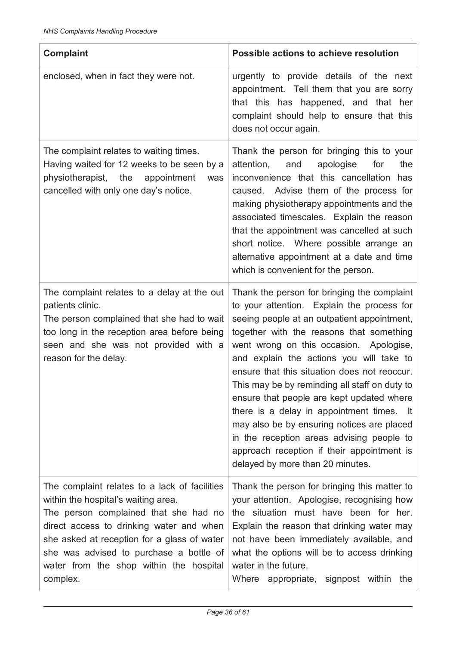| <b>Complaint</b>                                                                                                                                                                                                                                                                                                           | Possible actions to achieve resolution                                                                                                                                                                                                                                                                                                                                                                                                                                                                                                                                                                                                                  |  |  |  |  |
|----------------------------------------------------------------------------------------------------------------------------------------------------------------------------------------------------------------------------------------------------------------------------------------------------------------------------|---------------------------------------------------------------------------------------------------------------------------------------------------------------------------------------------------------------------------------------------------------------------------------------------------------------------------------------------------------------------------------------------------------------------------------------------------------------------------------------------------------------------------------------------------------------------------------------------------------------------------------------------------------|--|--|--|--|
| enclosed, when in fact they were not.                                                                                                                                                                                                                                                                                      | urgently to provide details of the next<br>appointment. Tell them that you are sorry<br>that this has happened, and that her<br>complaint should help to ensure that this<br>does not occur again.                                                                                                                                                                                                                                                                                                                                                                                                                                                      |  |  |  |  |
| The complaint relates to waiting times.<br>Having waited for 12 weeks to be seen by a<br>physiotherapist, the<br>appointment<br>was<br>cancelled with only one day's notice.                                                                                                                                               | Thank the person for bringing this to your<br>attention,<br>apologise<br>for<br>the<br>and<br>inconvenience that this cancellation has<br>caused. Advise them of the process for<br>making physiotherapy appointments and the<br>associated timescales. Explain the reason<br>that the appointment was cancelled at such<br>short notice. Where possible arrange an<br>alternative appointment at a date and time<br>which is convenient for the person.                                                                                                                                                                                                |  |  |  |  |
| The complaint relates to a delay at the out<br>patients clinic.<br>The person complained that she had to wait<br>too long in the reception area before being<br>seen and she was not provided with a<br>reason for the delay.                                                                                              | Thank the person for bringing the complaint<br>to your attention. Explain the process for<br>seeing people at an outpatient appointment,<br>together with the reasons that something<br>went wrong on this occasion. Apologise,<br>and explain the actions you will take to<br>ensure that this situation does not reoccur.<br>This may be by reminding all staff on duty to<br>ensure that people are kept updated where<br>there is a delay in appointment times.<br>lt.<br>may also be by ensuring notices are placed<br>in the reception areas advising people to<br>approach reception if their appointment is<br>delayed by more than 20 minutes. |  |  |  |  |
| The complaint relates to a lack of facilities<br>within the hospital's waiting area.<br>The person complained that she had no<br>direct access to drinking water and when<br>she asked at reception for a glass of water<br>she was advised to purchase a bottle of<br>water from the shop within the hospital<br>complex. | Thank the person for bringing this matter to<br>your attention. Apologise, recognising how<br>the situation must have been for her.<br>Explain the reason that drinking water may<br>not have been immediately available, and<br>what the options will be to access drinking<br>water in the future.<br>Where<br>appropriate, signpost within the                                                                                                                                                                                                                                                                                                       |  |  |  |  |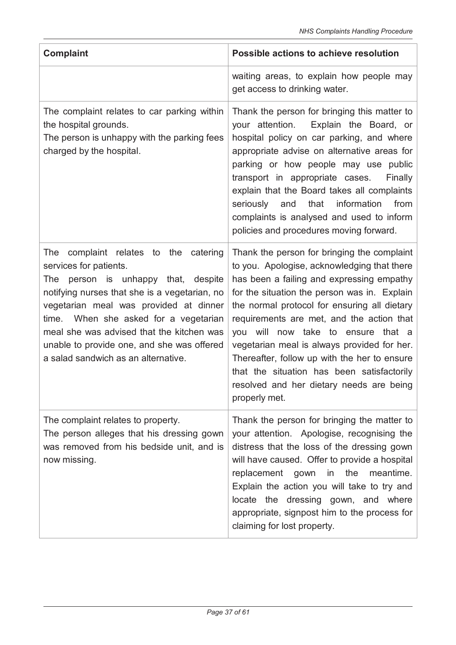| <b>Complaint</b>                                                                                                                                                                                                                                                                                                                                                                | Possible actions to achieve resolution                                                                                                                                                                                                                                                                                                                                                                                                                                                                                               |  |  |  |
|---------------------------------------------------------------------------------------------------------------------------------------------------------------------------------------------------------------------------------------------------------------------------------------------------------------------------------------------------------------------------------|--------------------------------------------------------------------------------------------------------------------------------------------------------------------------------------------------------------------------------------------------------------------------------------------------------------------------------------------------------------------------------------------------------------------------------------------------------------------------------------------------------------------------------------|--|--|--|
|                                                                                                                                                                                                                                                                                                                                                                                 | waiting areas, to explain how people may<br>get access to drinking water.                                                                                                                                                                                                                                                                                                                                                                                                                                                            |  |  |  |
| The complaint relates to car parking within<br>the hospital grounds.<br>The person is unhappy with the parking fees<br>charged by the hospital.                                                                                                                                                                                                                                 | Thank the person for bringing this matter to<br>your attention.<br>Explain the Board, or<br>hospital policy on car parking, and where<br>appropriate advise on alternative areas for<br>parking or how people may use public<br>transport in appropriate cases.<br>Finally<br>explain that the Board takes all complaints<br>information<br>seriously<br>and<br>that<br>from<br>complaints is analysed and used to inform<br>policies and procedures moving forward.                                                                 |  |  |  |
| complaint relates to the catering<br>The<br>services for patients.<br>The person is unhappy that, despite<br>notifying nurses that she is a vegetarian, no<br>vegetarian meal was provided at dinner<br>time. When she asked for a vegetarian<br>meal she was advised that the kitchen was<br>unable to provide one, and she was offered<br>a salad sandwich as an alternative. | Thank the person for bringing the complaint<br>to you. Apologise, acknowledging that there<br>has been a failing and expressing empathy<br>for the situation the person was in. Explain<br>the normal protocol for ensuring all dietary<br>requirements are met, and the action that<br>you will now take to ensure that a<br>vegetarian meal is always provided for her.<br>Thereafter, follow up with the her to ensure<br>that the situation has been satisfactorily<br>resolved and her dietary needs are being<br>properly met. |  |  |  |
| The complaint relates to property.<br>The person alleges that his dressing gown<br>was removed from his bedside unit, and is<br>now missing.                                                                                                                                                                                                                                    | Thank the person for bringing the matter to<br>your attention. Apologise, recognising the<br>distress that the loss of the dressing gown<br>will have caused. Offer to provide a hospital<br>in the<br>meantime.<br>replacement gown<br>Explain the action you will take to try and<br>locate the dressing gown, and where<br>appropriate, signpost him to the process for<br>claiming for lost property.                                                                                                                            |  |  |  |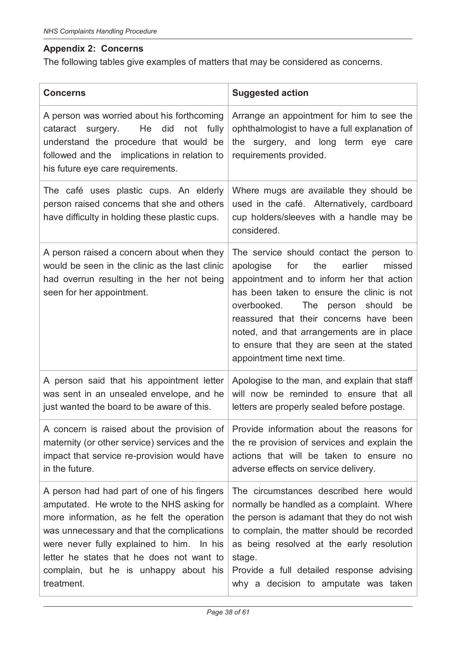# **Appendix 2: Concerns**

The following tables give examples of matters that may be considered as concerns.

| <b>Concerns</b>                                                                                                                                                                                                                                                                                                                       | <b>Suggested action</b>                                                                                                                                                                                                                                                                                                                                                                            |
|---------------------------------------------------------------------------------------------------------------------------------------------------------------------------------------------------------------------------------------------------------------------------------------------------------------------------------------|----------------------------------------------------------------------------------------------------------------------------------------------------------------------------------------------------------------------------------------------------------------------------------------------------------------------------------------------------------------------------------------------------|
| A person was worried about his forthcoming<br>He<br>did<br>cataract surgery.<br>not fully<br>understand the procedure that would be<br>followed and the implications in relation to<br>his future eye care requirements.                                                                                                              | Arrange an appointment for him to see the<br>ophthalmologist to have a full explanation of<br>the surgery, and long term eye care<br>requirements provided.                                                                                                                                                                                                                                        |
| The café uses plastic cups. An elderly<br>person raised concerns that she and others<br>have difficulty in holding these plastic cups.                                                                                                                                                                                                | Where mugs are available they should be<br>used in the café. Alternatively, cardboard<br>cup holders/sleeves with a handle may be<br>considered.                                                                                                                                                                                                                                                   |
| A person raised a concern about when they<br>would be seen in the clinic as the last clinic<br>had overrun resulting in the her not being<br>seen for her appointment.                                                                                                                                                                | The service should contact the person to<br>for<br>the<br>earlier<br>apologise<br>missed<br>appointment and to inform her that action<br>has been taken to ensure the clinic is not<br>overbooked.<br>The person should<br>be<br>reassured that their concerns have been<br>noted, and that arrangements are in place<br>to ensure that they are seen at the stated<br>appointment time next time. |
| A person said that his appointment letter<br>was sent in an unsealed envelope, and he<br>just wanted the board to be aware of this.                                                                                                                                                                                                   | Apologise to the man, and explain that staff<br>will now be reminded to ensure that all<br>letters are properly sealed before postage.                                                                                                                                                                                                                                                             |
| A concern is raised about the provision of<br>maternity (or other service) services and the<br>impact that service re-provision would have<br>in the future.                                                                                                                                                                          | Provide information about the reasons for<br>the re provision of services and explain the<br>actions that will be taken to ensure no<br>adverse effects on service delivery.                                                                                                                                                                                                                       |
| A person had had part of one of his fingers<br>amputated. He wrote to the NHS asking for<br>more information, as he felt the operation<br>was unnecessary and that the complications<br>were never fully explained to him. In his<br>letter he states that he does not want to<br>complain, but he is unhappy about his<br>treatment. | The circumstances described here would<br>normally be handled as a complaint. Where<br>the person is adamant that they do not wish<br>to complain, the matter should be recorded<br>as being resolved at the early resolution<br>stage.<br>Provide a full detailed response advising<br>why a decision to amputate was taken                                                                       |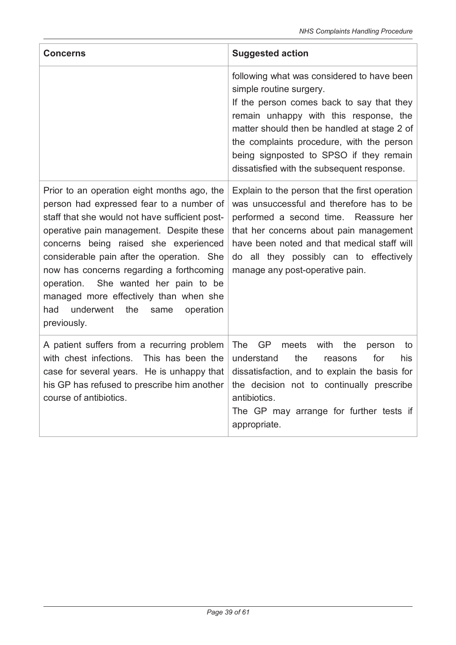| <b>Concerns</b>                                                                                                                                                                                                                                                                                                                                                                                                                                                              | <b>Suggested action</b>                                                                                                                                                                                                                                                                                                                           |  |  |  |
|------------------------------------------------------------------------------------------------------------------------------------------------------------------------------------------------------------------------------------------------------------------------------------------------------------------------------------------------------------------------------------------------------------------------------------------------------------------------------|---------------------------------------------------------------------------------------------------------------------------------------------------------------------------------------------------------------------------------------------------------------------------------------------------------------------------------------------------|--|--|--|
|                                                                                                                                                                                                                                                                                                                                                                                                                                                                              | following what was considered to have been<br>simple routine surgery.<br>If the person comes back to say that they<br>remain unhappy with this response, the<br>matter should then be handled at stage 2 of<br>the complaints procedure, with the person<br>being signposted to SPSO if they remain<br>dissatisfied with the subsequent response. |  |  |  |
| Prior to an operation eight months ago, the<br>person had expressed fear to a number of<br>staff that she would not have sufficient post-<br>operative pain management. Despite these<br>concerns being raised she experienced<br>considerable pain after the operation. She<br>now has concerns regarding a forthcoming<br>She wanted her pain to be<br>operation.<br>managed more effectively than when she<br>underwent<br>had<br>the<br>operation<br>same<br>previously. | Explain to the person that the first operation<br>was unsuccessful and therefore has to be<br>performed a second time. Reassure her<br>that her concerns about pain management<br>have been noted and that medical staff will<br>do all they possibly can to effectively<br>manage any post-operative pain.                                       |  |  |  |
| A patient suffers from a recurring problem<br>with chest infections.<br>This has been the<br>case for several years. He is unhappy that<br>his GP has refused to prescribe him another<br>course of antibiotics.                                                                                                                                                                                                                                                             | <b>The</b><br><b>GP</b><br>meets<br>with<br>the<br>to<br>person<br>understand<br>the<br>for<br>his<br>reasons<br>dissatisfaction, and to explain the basis for<br>the decision not to continually prescribe<br>antibiotics.<br>The GP may arrange for further tests if<br>appropriate.                                                            |  |  |  |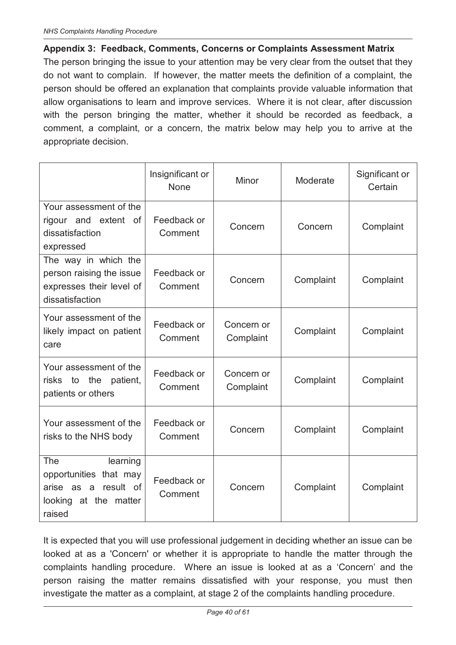#### **Appendix 3: Feedback, Comments, Concerns or Complaints Assessment Matrix**

The person bringing the issue to your attention may be very clear from the outset that they do not want to complain. If however, the matter meets the definition of a complaint, the person should be offered an explanation that complaints provide valuable information that allow organisations to learn and improve services. Where it is not clear, after discussion with the person bringing the matter, whether it should be recorded as feedback, a comment, a complaint, or a concern, the matrix below may help you to arrive at the appropriate decision.

|                                                                                                      | Insignificant or<br>None          | Minor                   | Moderate  | Significant or<br>Certain |
|------------------------------------------------------------------------------------------------------|-----------------------------------|-------------------------|-----------|---------------------------|
| Your assessment of the<br>rigour and extent of<br>dissatisfaction<br>expressed                       | Feedback or<br>Comment            | Concern                 | Concern   | Complaint                 |
| The way in which the<br>person raising the issue<br>expresses their level of<br>dissatisfaction      | Feedback or<br>Comment            | Concern                 | Complaint | Complaint                 |
| Your assessment of the<br>likely impact on patient<br>care                                           | Feedback or<br>Comment            | Concern or<br>Complaint | Complaint | Complaint                 |
| Your assessment of the<br>the<br>patient,<br>risks<br>to<br>patients or others                       | Feedback or<br>Comment            | Concern or<br>Complaint | Complaint | Complaint                 |
| Your assessment of the<br>risks to the NHS body                                                      | Feedback or<br>Concern<br>Comment |                         | Complaint | Complaint                 |
| The<br>learning<br>opportunities that may<br>arise as a result of<br>looking at the matter<br>raised | Feedback or<br>Comment            | Concern                 | Complaint | Complaint                 |

It is expected that you will use professional judgement in deciding whether an issue can be looked at as a 'Concern' or whether it is appropriate to handle the matter through the complaints handling procedure. Where an issue is looked at as a 'Concern' and the person raising the matter remains dissatisfied with your response, you must then investigate the matter as a complaint, at stage 2 of the complaints handling procedure.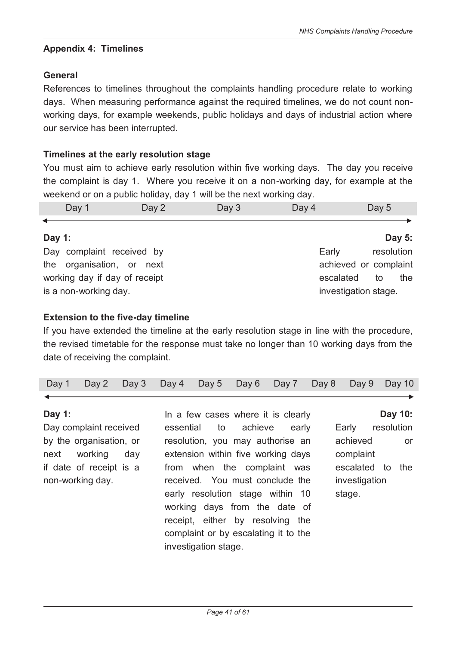#### **Appendix 4: Timelines**

#### **General**

References to timelines throughout the complaints handling procedure relate to working days. When measuring performance against the required timelines, we do not count nonworking days, for example weekends, public holidays and days of industrial action where our service has been interrupted.

#### **Timelines at the early resolution stage**

You must aim to achieve early resolution within five working days. The day you receive the complaint is day 1. Where you receive it on a non-working day, for example at the weekend or on a public holiday, day 1 will be the next working day.

| Day 1 | Day 2 | Day 3 | Day 4 | Day 5 |
|-------|-------|-------|-------|-------|
|       |       |       |       |       |

#### **Day 1:**

Day complaint received by the organisation, or next working day if day of receipt is a non-working day. Early resolution achieved or complaint escalated to the investigation stage.

#### **Extension to the five-day timeline**

If you have extended the timeline at the early resolution stage in line with the procedure, the revised timetable for the response must take no longer than 10 working days from the date of receiving the complaint.

|  |  |  |  |  |  |  |  | Day 1 Day 2 Day 3 Day 4 Day 5 Day 6 Day 7 Day 8 Day 9 Day 10 |  |  |
|--|--|--|--|--|--|--|--|--------------------------------------------------------------|--|--|
|--|--|--|--|--|--|--|--|--------------------------------------------------------------|--|--|

#### **Day 1:**

Day complaint received by the organisation, or next working day if date of receipt is a non-working day.

In a few cases where it is clearly essential to achieve early resolution, you may authorise an extension within five working days from when the complaint was received. You must conclude the early resolution stage within 10 working days from the date of receipt, either by resolving the complaint or by escalating it to the investigation stage.

**Day 10:** 

**Day 5:** 

Early resolution achieved or complaint escalated to the investigation stage.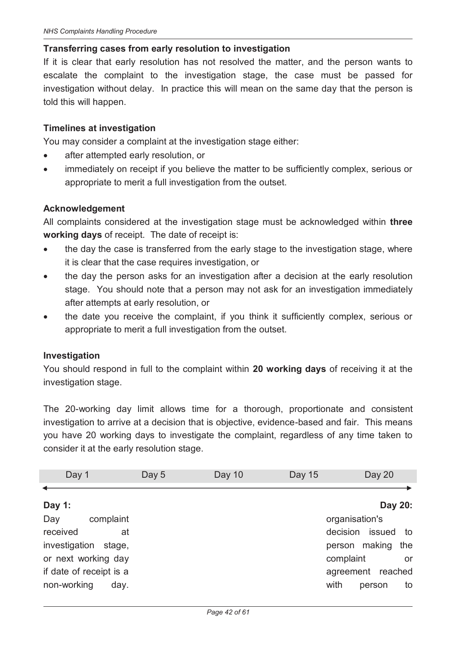#### **Transferring cases from early resolution to investigation**

If it is clear that early resolution has not resolved the matter, and the person wants to escalate the complaint to the investigation stage, the case must be passed for investigation without delay. In practice this will mean on the same day that the person is told this will happen.

#### **Timelines at investigation**

You may consider a complaint at the investigation stage either:

- after attempted early resolution, or
- · immediately on receipt if you believe the matter to be sufficiently complex, serious or appropriate to merit a full investigation from the outset.

#### **Acknowledgement**

All complaints considered at the investigation stage must be acknowledged within **three working days** of receipt. The date of receipt is:

- the day the case is transferred from the early stage to the investigation stage, where it is clear that the case requires investigation, or
- the day the person asks for an investigation after a decision at the early resolution stage. You should note that a person may not ask for an investigation immediately after attempts at early resolution, or
- · the date you receive the complaint, if you think it sufficiently complex, serious or appropriate to merit a full investigation from the outset.

#### **Investigation**

You should respond in full to the complaint within **20 working days** of receiving it at the investigation stage.

The 20-working day limit allows time for a thorough, proportionate and consistent investigation to arrive at a decision that is objective, evidence-based and fair. This means you have 20 working days to investigate the complaint, regardless of any time taken to consider it at the early resolution stage.

| Day 1                   | Day 5 | Day 10 | Day 15 | Day 20                   |
|-------------------------|-------|--------|--------|--------------------------|
|                         |       |        |        |                          |
| Day 1:                  |       |        |        | Day 20:                  |
| Day<br>complaint        |       |        |        | organisation's           |
| received                | at    |        |        | decision<br>issued<br>to |
| investigation<br>stage, |       |        |        | person making<br>the     |
| or next working day     |       |        |        | complaint<br>or          |
| if date of receipt is a |       |        |        | agreement reached        |
| non-working<br>day.     |       |        |        | with<br>person<br>to     |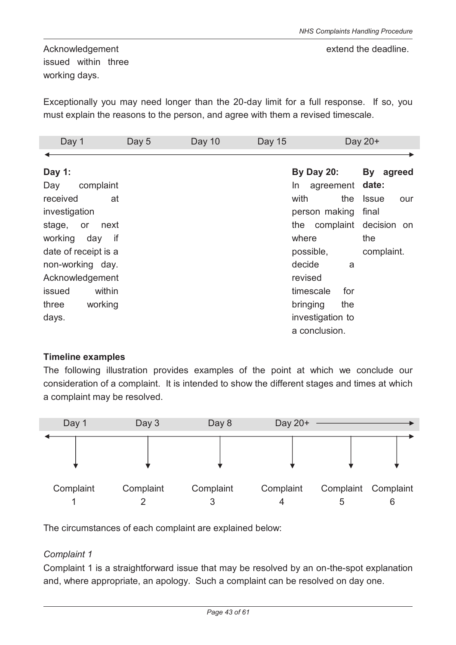Acknowledgement issued within three working days.

Exceptionally you may need longer than the 20-day limit for a full response. If so, you must explain the reasons to the person, and agree with them a revised timescale.

| Day 1                | Day 5 | Day 10 | Day 15 |                   | Day 20+             |
|----------------------|-------|--------|--------|-------------------|---------------------|
|                      |       |        |        |                   |                     |
| Day 1:               |       |        |        | <b>By Day 20:</b> | By agreed           |
| complaint<br>Day     |       |        |        | In.<br>agreement  | date:               |
| received<br>at       |       |        |        | with<br>the       | <b>Issue</b><br>our |
| investigation        |       |        |        | person making     | final               |
| stage, or<br>next    |       |        |        | the complaint     | decision on         |
| working<br>if<br>day |       |        |        | where             | the                 |
| date of receipt is a |       |        |        | possible,         | complaint.          |
| non-working day.     |       |        |        | decide<br>a       |                     |
| Acknowledgement      |       |        |        | revised           |                     |
| within<br>issued     |       |        |        | timescale<br>for  |                     |
| working<br>three     |       |        |        | bringing<br>the   |                     |
| days.                |       |        |        | investigation to  |                     |
|                      |       |        |        | a conclusion.     |                     |

#### **Timeline examples**

The following illustration provides examples of the point at which we conclude our consideration of a complaint. It is intended to show the different stages and times at which a complaint may be resolved.



The circumstances of each complaint are explained below:

#### *Complaint 1*

Complaint 1 is a straightforward issue that may be resolved by an on-the-spot explanation and, where appropriate, an apology. Such a complaint can be resolved on day one.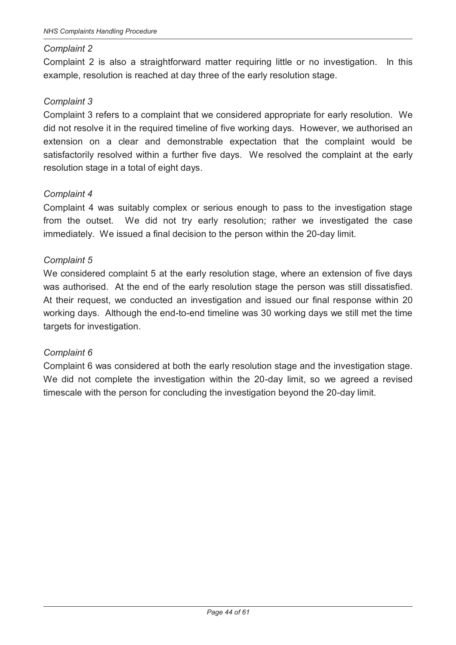#### *Complaint 2*

Complaint 2 is also a straightforward matter requiring little or no investigation. In this example, resolution is reached at day three of the early resolution stage.

#### *Complaint 3*

Complaint 3 refers to a complaint that we considered appropriate for early resolution. We did not resolve it in the required timeline of five working days. However, we authorised an extension on a clear and demonstrable expectation that the complaint would be satisfactorily resolved within a further five days. We resolved the complaint at the early resolution stage in a total of eight days.

#### *Complaint 4*

Complaint 4 was suitably complex or serious enough to pass to the investigation stage from the outset. We did not try early resolution; rather we investigated the case immediately. We issued a final decision to the person within the 20-day limit.

#### *Complaint 5*

We considered complaint 5 at the early resolution stage, where an extension of five days was authorised. At the end of the early resolution stage the person was still dissatisfied. At their request, we conducted an investigation and issued our final response within 20 working days. Although the end-to-end timeline was 30 working days we still met the time targets for investigation.

#### *Complaint 6*

Complaint 6 was considered at both the early resolution stage and the investigation stage. We did not complete the investigation within the 20-day limit, so we agreed a revised timescale with the person for concluding the investigation beyond the 20-day limit.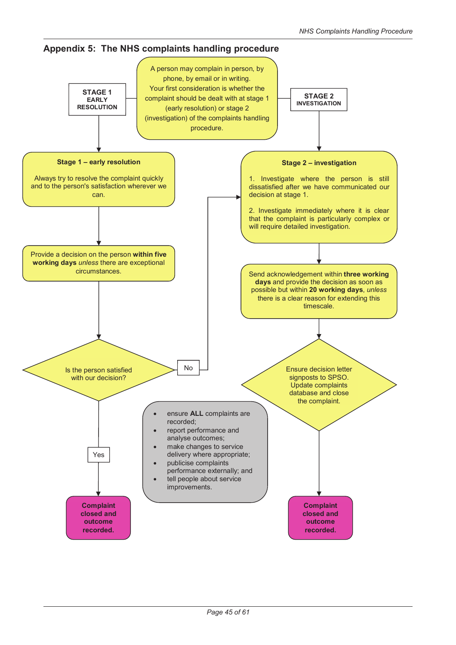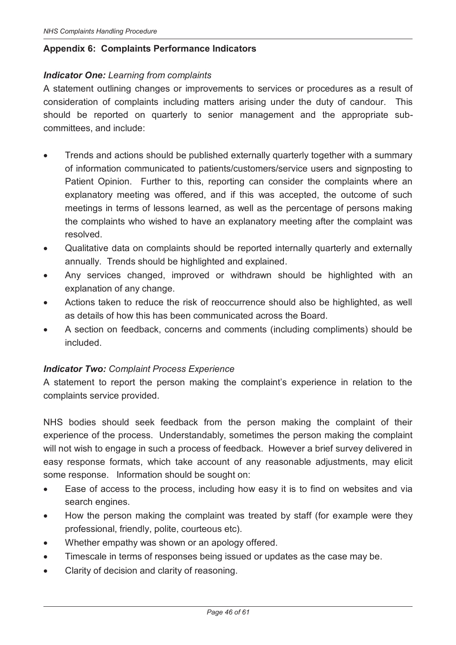#### **Appendix 6: Complaints Performance Indicators**

#### *Indicator One: Learning from complaints*

A statement outlining changes or improvements to services or procedures as a result of consideration of complaints including matters arising under the duty of candour. This should be reported on quarterly to senior management and the appropriate subcommittees, and include:

- Trends and actions should be published externally quarterly together with a summary of information communicated to patients/customers/service users and signposting to Patient Opinion. Further to this, reporting can consider the complaints where an explanatory meeting was offered, and if this was accepted, the outcome of such meetings in terms of lessons learned, as well as the percentage of persons making the complaints who wished to have an explanatory meeting after the complaint was resolved.
- · Qualitative data on complaints should be reported internally quarterly and externally annually. Trends should be highlighted and explained.
- Any services changed, improved or withdrawn should be highlighted with an explanation of any change.
- Actions taken to reduce the risk of reoccurrence should also be highlighted, as well as details of how this has been communicated across the Board.
- · A section on feedback, concerns and comments (including compliments) should be included.

#### *Indicator Two: Complaint Process Experience*

A statement to report the person making the complaint's experience in relation to the complaints service provided.

NHS bodies should seek feedback from the person making the complaint of their experience of the process. Understandably, sometimes the person making the complaint will not wish to engage in such a process of feedback. However a brief survey delivered in easy response formats, which take account of any reasonable adjustments, may elicit some response. Information should be sought on:

- · Ease of access to the process, including how easy it is to find on websites and via search engines.
- How the person making the complaint was treated by staff (for example were they professional, friendly, polite, courteous etc).
- · Whether empathy was shown or an apology offered.
- · Timescale in terms of responses being issued or updates as the case may be.
- · Clarity of decision and clarity of reasoning.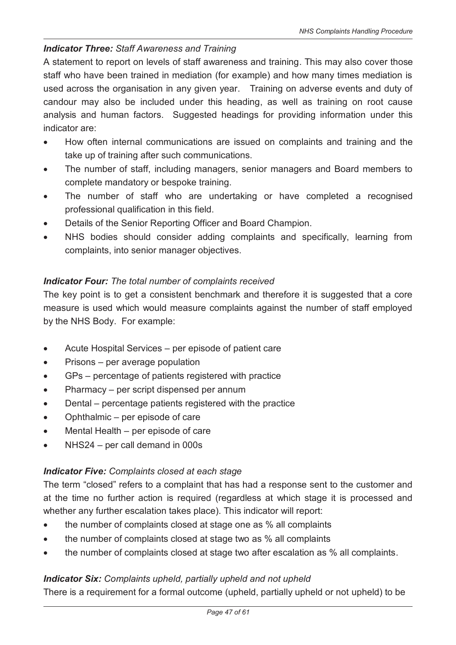# *Indicator Three: Staff Awareness and Training*

A statement to report on levels of staff awareness and training. This may also cover those staff who have been trained in mediation (for example) and how many times mediation is used across the organisation in any given year. Training on adverse events and duty of candour may also be included under this heading, as well as training on root cause analysis and human factors. Suggested headings for providing information under this indicator are:

- · How often internal communications are issued on complaints and training and the take up of training after such communications.
- · The number of staff, including managers, senior managers and Board members to complete mandatory or bespoke training.
- The number of staff who are undertaking or have completed a recognised professional qualification in this field.
- Details of the Senior Reporting Officer and Board Champion.
- NHS bodies should consider adding complaints and specifically, learning from complaints, into senior manager objectives.

#### *Indicator Four: The total number of complaints received*

The key point is to get a consistent benchmark and therefore it is suggested that a core measure is used which would measure complaints against the number of staff employed by the NHS Body. For example:

- · Acute Hospital Services per episode of patient care
- Prisons per average population
- · GPs percentage of patients registered with practice
- Pharmacy per script dispensed per annum
- · Dental percentage patients registered with the practice
- · Ophthalmic per episode of care
- Mental Health per episode of care
- NHS24 per call demand in 000s

#### *Indicator Five: Complaints closed at each stage*

The term "closed" refers to a complaint that has had a response sent to the customer and at the time no further action is required (regardless at which stage it is processed and whether any further escalation takes place). This indicator will report:

- · the number of complaints closed at stage one as % all complaints
- the number of complaints closed at stage two as % all complaints
- · the number of complaints closed at stage two after escalation as % all complaints.

# *Indicator Six: Complaints upheld, partially upheld and not upheld*

There is a requirement for a formal outcome (upheld, partially upheld or not upheld) to be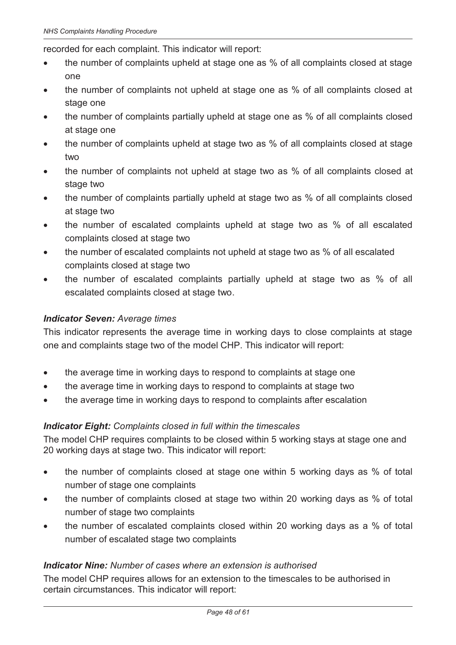recorded for each complaint. This indicator will report:

- the number of complaints upheld at stage one as % of all complaints closed at stage one
- · the number of complaints not upheld at stage one as % of all complaints closed at stage one
- the number of complaints partially upheld at stage one as % of all complaints closed at stage one
- the number of complaints upheld at stage two as % of all complaints closed at stage two
- · the number of complaints not upheld at stage two as % of all complaints closed at stage two
- the number of complaints partially upheld at stage two as % of all complaints closed at stage two
- · the number of escalated complaints upheld at stage two as % of all escalated complaints closed at stage two
- · the number of escalated complaints not upheld at stage two as % of all escalated complaints closed at stage two
- · the number of escalated complaints partially upheld at stage two as % of all escalated complaints closed at stage two.

#### *Indicator Seven: Average times*

This indicator represents the average time in working days to close complaints at stage one and complaints stage two of the model CHP. This indicator will report:

- the average time in working days to respond to complaints at stage one
- · the average time in working days to respond to complaints at stage two
- the average time in working days to respond to complaints after escalation

#### *Indicator Eight: Complaints closed in full within the timescales*

The model CHP requires complaints to be closed within 5 working stays at stage one and 20 working days at stage two. This indicator will report:

- the number of complaints closed at stage one within 5 working days as % of total number of stage one complaints
- · the number of complaints closed at stage two within 20 working days as % of total number of stage two complaints
- the number of escalated complaints closed within 20 working days as a % of total number of escalated stage two complaints

#### *Indicator Nine: Number of cases where an extension is authorised*

The model CHP requires allows for an extension to the timescales to be authorised in certain circumstances. This indicator will report: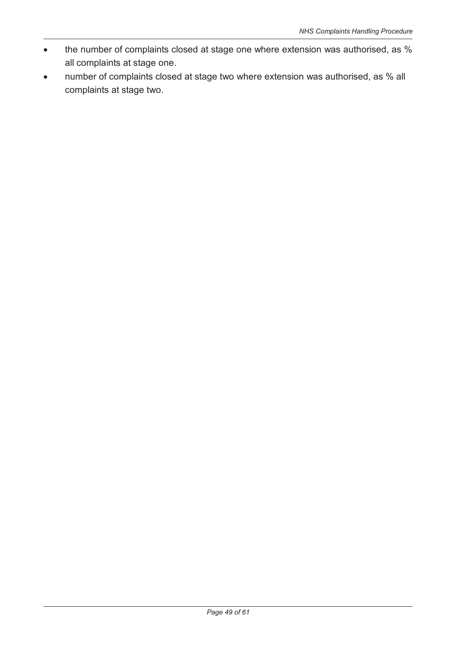- · the number of complaints closed at stage one where extension was authorised, as % all complaints at stage one.
- · number of complaints closed at stage two where extension was authorised, as % all complaints at stage two.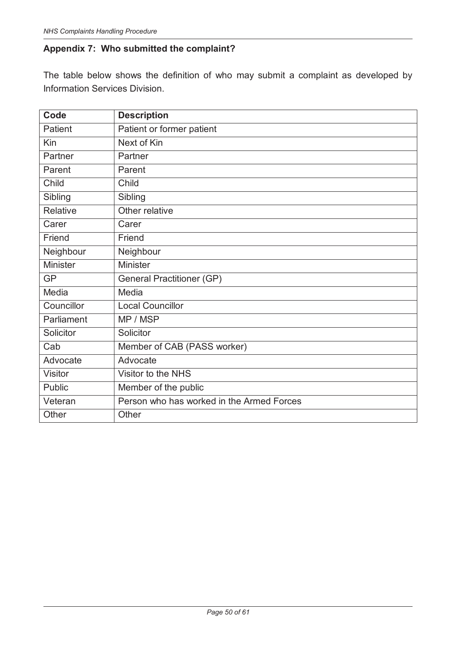# **Appendix 7: Who submitted the complaint?**

The table below shows the definition of who may submit a complaint as developed by Information Services Division.

| Code            | <b>Description</b>                        |
|-----------------|-------------------------------------------|
| Patient         | Patient or former patient                 |
| Kin             | Next of Kin                               |
| Partner         | Partner                                   |
| Parent          | Parent                                    |
| Child           | Child                                     |
| Sibling         | Sibling                                   |
| Relative        | Other relative                            |
| Carer           | Carer                                     |
| Friend          | Friend                                    |
| Neighbour       | Neighbour                                 |
| <b>Minister</b> | <b>Minister</b>                           |
| <b>GP</b>       | <b>General Practitioner (GP)</b>          |
| Media           | Media                                     |
| Councillor      | <b>Local Councillor</b>                   |
| Parliament      | MP / MSP                                  |
| Solicitor       | Solicitor                                 |
| Cab             | Member of CAB (PASS worker)               |
| Advocate        | Advocate                                  |
| <b>Visitor</b>  | Visitor to the NHS                        |
| <b>Public</b>   | Member of the public                      |
| Veteran         | Person who has worked in the Armed Forces |
| Other           | Other                                     |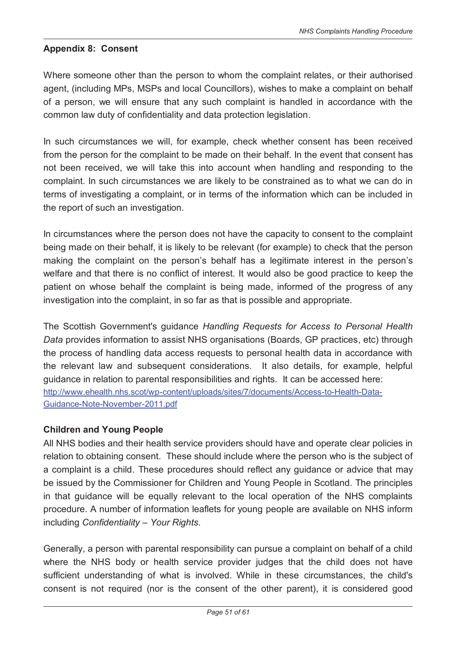#### **Appendix 8: Consent**

Where someone other than the person to whom the complaint relates, or their authorised agent, (including MPs, MSPs and local Councillors), wishes to make a complaint on behalf of a person, we will ensure that any such complaint is handled in accordance with the common law duty of confidentiality and data protection legislation.

In such circumstances we will, for example, check whether consent has been received from the person for the complaint to be made on their behalf. In the event that consent has not been received, we will take this into account when handling and responding to the complaint. In such circumstances we are likely to be constrained as to what we can do in terms of investigating a complaint, or in terms of the information which can be included in the report of such an investigation.

In circumstances where the person does not have the capacity to consent to the complaint being made on their behalf, it is likely to be relevant (for example) to check that the person making the complaint on the person's behalf has a legitimate interest in the person's welfare and that there is no conflict of interest. It would also be good practice to keep the patient on whose behalf the complaint is being made, informed of the progress of any investigation into the complaint, in so far as that is possible and appropriate.

The Scottish Government's guidance *Handling Requests for Access to Personal Health Data* provides information to assist NHS organisations (Boards, GP practices, etc) through the process of handling data access requests to personal health data in accordance with the relevant law and subsequent considerations. It also details, for example, helpful guidance in relation to parental responsibilities and rights. It can be accessed here: http://www.ehealth.nhs.scot/wp-content/uploads/sites/7/documents/Access-to-Health-Data-Guidance-Note-November-2011.pdf

#### **Children and Young People**

All NHS bodies and their health service providers should have and operate clear policies in relation to obtaining consent. These should include where the person who is the subject of a complaint is a child. These procedures should reflect any guidance or advice that may be issued by the Commissioner for Children and Young People in Scotland. The principles in that guidance will be equally relevant to the local operation of the NHS complaints procedure. A number of information leaflets for young people are available on NHS inform including *Confidentiality – Your Rights*.

Generally, a person with parental responsibility can pursue a complaint on behalf of a child where the NHS body or health service provider judges that the child does not have sufficient understanding of what is involved. While in these circumstances, the child's consent is not required (nor is the consent of the other parent), it is considered good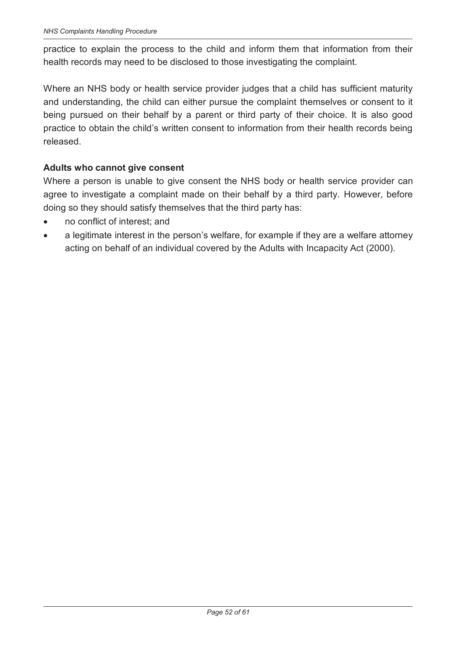practice to explain the process to the child and inform them that information from their health records may need to be disclosed to those investigating the complaint.

Where an NHS body or health service provider judges that a child has sufficient maturity and understanding, the child can either pursue the complaint themselves or consent to it being pursued on their behalf by a parent or third party of their choice. It is also good practice to obtain the child's written consent to information from their health records being released.

#### **Adults who cannot give consent**

Where a person is unable to give consent the NHS body or health service provider can agree to investigate a complaint made on their behalf by a third party. However, before doing so they should satisfy themselves that the third party has:

- no conflict of interest; and
- a legitimate interest in the person's welfare, for example if they are a welfare attorney acting on behalf of an individual covered by the Adults with Incapacity Act (2000).